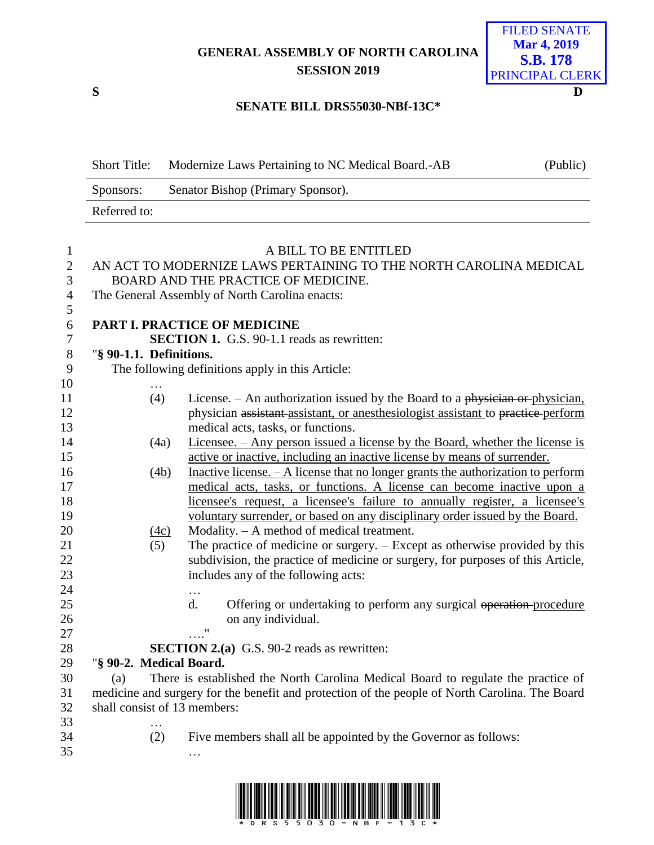# **GENERAL ASSEMBLY OF NORTH CAROLINA SESSION 2019**

**S D**

# FILED SENATE **Mar 4, 2019 S.B. 178** PRINCIPAL CLERK

#### **SENATE BILL DRS55030-NBf-13C\***

| <b>Short Title:</b> | Modernize Laws Pertaining to NC Medical Board.-AB | (Public) |
|---------------------|---------------------------------------------------|----------|
| Sponsors:           | Senator Bishop (Primary Sponsor).                 |          |
| Referred to:        |                                                   |          |

| 1              |                                                                   | A BILL TO BE ENTITLED                                                                          |  |  |
|----------------|-------------------------------------------------------------------|------------------------------------------------------------------------------------------------|--|--|
| $\overline{2}$ | AN ACT TO MODERNIZE LAWS PERTAINING TO THE NORTH CAROLINA MEDICAL |                                                                                                |  |  |
| 3              | BOARD AND THE PRACTICE OF MEDICINE.                               |                                                                                                |  |  |
| $\overline{4}$ |                                                                   | The General Assembly of North Carolina enacts:                                                 |  |  |
| 5              |                                                                   |                                                                                                |  |  |
| 6              |                                                                   | PART I. PRACTICE OF MEDICINE                                                                   |  |  |
| 7              |                                                                   | <b>SECTION 1.</b> G.S. 90-1.1 reads as rewritten:                                              |  |  |
| $8\,$          | "§ 90-1.1. Definitions.                                           |                                                                                                |  |  |
| 9              |                                                                   | The following definitions apply in this Article:                                               |  |  |
| 10             |                                                                   |                                                                                                |  |  |
| 11             | (4)                                                               | License. $-$ An authorization issued by the Board to a physician or physician,                 |  |  |
| 12             |                                                                   | physician assistant assistant, or anesthesiologist assistant to practice perform               |  |  |
| 13             |                                                                   | medical acts, tasks, or functions.                                                             |  |  |
| 14             | (4a)                                                              | Licensee. – Any person issued a license by the Board, whether the license is                   |  |  |
| 15             |                                                                   | active or inactive, including an inactive license by means of surrender.                       |  |  |
| 16             | (4b)                                                              | Inactive license. $- A$ license that no longer grants the authorization to perform             |  |  |
| 17             |                                                                   | medical acts, tasks, or functions. A license can become inactive upon a                        |  |  |
| 18             |                                                                   | licensee's request, a licensee's failure to annually register, a licensee's                    |  |  |
| 19             |                                                                   | voluntary surrender, or based on any disciplinary order issued by the Board.                   |  |  |
| 20             | (4c)                                                              | Modality. $- A$ method of medical treatment.                                                   |  |  |
| 21             | (5)                                                               | The practice of medicine or surgery. – Except as otherwise provided by this                    |  |  |
| 22             |                                                                   | subdivision, the practice of medicine or surgery, for purposes of this Article,                |  |  |
| 23             |                                                                   | includes any of the following acts:                                                            |  |  |
| 24             |                                                                   | .                                                                                              |  |  |
| 25             |                                                                   | $\mathbf{d}$ .<br>Offering or undertaking to perform any surgical operation-procedure          |  |  |
| 26             |                                                                   | on any individual.                                                                             |  |  |
| 27             |                                                                   | $\overline{\phantom{a}}$                                                                       |  |  |
| 28             |                                                                   | <b>SECTION 2.(a)</b> G.S. 90-2 reads as rewritten:                                             |  |  |
| 29             | "§ 90-2. Medical Board.                                           |                                                                                                |  |  |
| 30             | (a)                                                               | There is established the North Carolina Medical Board to regulate the practice of              |  |  |
| 31             |                                                                   | medicine and surgery for the benefit and protection of the people of North Carolina. The Board |  |  |
| 32             | shall consist of 13 members:                                      |                                                                                                |  |  |
| 33             | .                                                                 |                                                                                                |  |  |
| 34             | (2)                                                               | Five members shall all be appointed by the Governor as follows:                                |  |  |
| 35             |                                                                   |                                                                                                |  |  |

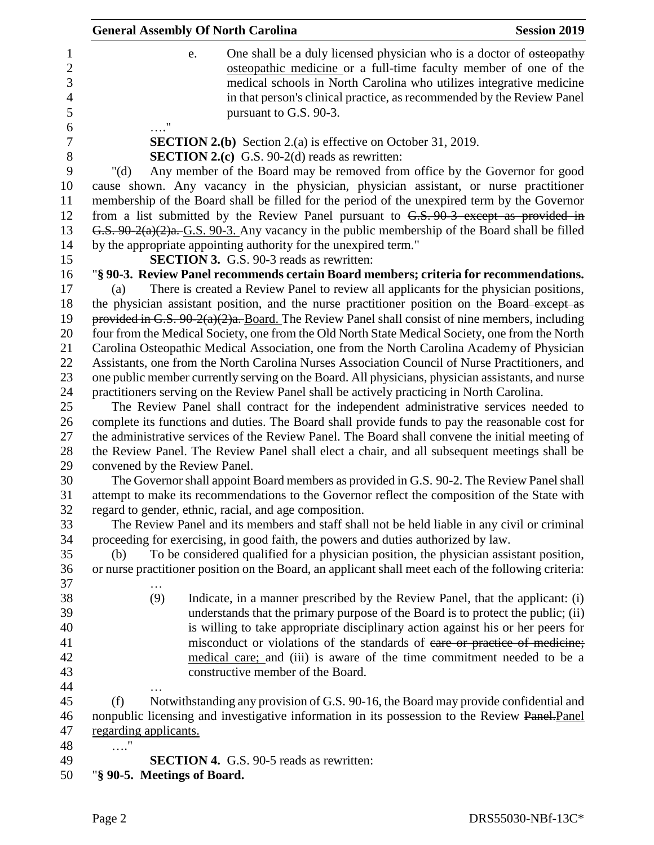|                               | <b>General Assembly Of North Carolina</b>                                                                                                                                                                                                                                                                                                                                                                                                              | <b>Session 2019</b> |
|-------------------------------|--------------------------------------------------------------------------------------------------------------------------------------------------------------------------------------------------------------------------------------------------------------------------------------------------------------------------------------------------------------------------------------------------------------------------------------------------------|---------------------|
|                               | One shall be a duly licensed physician who is a doctor of osteopathy<br>e.<br>osteopathic medicine or a full-time faculty member of one of the<br>medical schools in North Carolina who utilizes integrative medicine<br>in that person's clinical practice, as recommended by the Review Panel<br>pursuant to G.S. 90-3.                                                                                                                              |                     |
|                               | <b>SECTION 2.(b)</b> Section 2.(a) is effective on October 31, 2019.                                                                                                                                                                                                                                                                                                                                                                                   |                     |
|                               | <b>SECTION 2.(c)</b> G.S. 90-2(d) reads as rewritten:                                                                                                                                                                                                                                                                                                                                                                                                  |                     |
| " $(d)$                       | Any member of the Board may be removed from office by the Governor for good                                                                                                                                                                                                                                                                                                                                                                            |                     |
|                               | cause shown. Any vacancy in the physician, physician assistant, or nurse practitioner<br>membership of the Board shall be filled for the period of the unexpired term by the Governor<br>from a list submitted by the Review Panel pursuant to $G.S. 90-3$ except as provided in<br>G.S. 90-2(a)(2)a. G.S. 90-3. Any vacancy in the public membership of the Board shall be filled<br>by the appropriate appointing authority for the unexpired term." |                     |
|                               | <b>SECTION 3.</b> G.S. 90-3 reads as rewritten:                                                                                                                                                                                                                                                                                                                                                                                                        |                     |
|                               | "§ 90-3. Review Panel recommends certain Board members; criteria for recommendations.                                                                                                                                                                                                                                                                                                                                                                  |                     |
| (a)                           | There is created a Review Panel to review all applicants for the physician positions,<br>the physician assistant position, and the nurse practitioner position on the Board except as<br>provided in G.S. $90-2(a)(2)a$ . Board. The Review Panel shall consist of nine members, including<br>four from the Medical Society, one from the Old North State Medical Society, one from the North                                                          |                     |
|                               | Carolina Osteopathic Medical Association, one from the North Carolina Academy of Physician                                                                                                                                                                                                                                                                                                                                                             |                     |
|                               | Assistants, one from the North Carolina Nurses Association Council of Nurse Practitioners, and                                                                                                                                                                                                                                                                                                                                                         |                     |
|                               | one public member currently serving on the Board. All physicians, physician assistants, and nurse                                                                                                                                                                                                                                                                                                                                                      |                     |
|                               | practitioners serving on the Review Panel shall be actively practicing in North Carolina.                                                                                                                                                                                                                                                                                                                                                              |                     |
|                               | The Review Panel shall contract for the independent administrative services needed to<br>complete its functions and duties. The Board shall provide funds to pay the reasonable cost for<br>the administrative services of the Review Panel. The Board shall convene the initial meeting of<br>the Review Panel. The Review Panel shall elect a chair, and all subsequent meetings shall be                                                            |                     |
| convened by the Review Panel. |                                                                                                                                                                                                                                                                                                                                                                                                                                                        |                     |
|                               | The Governor shall appoint Board members as provided in G.S. 90-2. The Review Panel shall<br>attempt to make its recommendations to the Governor reflect the composition of the State with<br>regard to gender, ethnic, racial, and age composition.                                                                                                                                                                                                   |                     |
|                               | The Review Panel and its members and staff shall not be held liable in any civil or criminal                                                                                                                                                                                                                                                                                                                                                           |                     |
|                               | proceeding for exercising, in good faith, the powers and duties authorized by law.                                                                                                                                                                                                                                                                                                                                                                     |                     |
| (b)                           | To be considered qualified for a physician position, the physician assistant position,                                                                                                                                                                                                                                                                                                                                                                 |                     |
|                               | or nurse practitioner position on the Board, an applicant shall meet each of the following criteria:                                                                                                                                                                                                                                                                                                                                                   |                     |
|                               |                                                                                                                                                                                                                                                                                                                                                                                                                                                        |                     |
| (9)                           | Indicate, in a manner prescribed by the Review Panel, that the applicant: (i)<br>understands that the primary purpose of the Board is to protect the public; (ii)<br>is willing to take appropriate disciplinary action against his or her peers for<br>misconduct or violations of the standards of eare or practice of medicine;<br>medical care; and (iii) is aware of the time commitment needed to be a<br>constructive member of the Board.      |                     |
| (f)                           | Notwithstanding any provision of G.S. 90-16, the Board may provide confidential and<br>nonpublic licensing and investigative information in its possession to the Review Panel-Panel                                                                                                                                                                                                                                                                   |                     |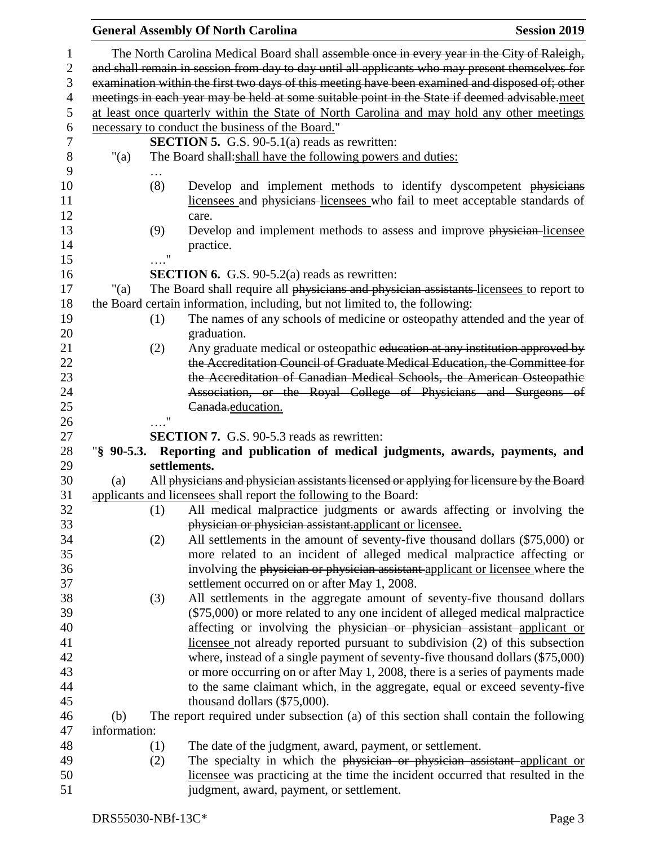|                |              |               | <b>General Assembly Of North Carolina</b>                                                       | <b>Session 2019</b> |
|----------------|--------------|---------------|-------------------------------------------------------------------------------------------------|---------------------|
| 1              |              |               | The North Carolina Medical Board shall assemble once in every year in the City of Raleigh,      |                     |
| $\mathbf{2}$   |              |               | and shall remain in session from day to day until all applicants who may present themselves for |                     |
| 3              |              |               | examination within the first two days of this meeting have been examined and disposed of; other |                     |
| $\overline{4}$ |              |               | meetings in each year may be held at some suitable point in the State if deemed advisable.meet  |                     |
| 5              |              |               | at least once quarterly within the State of North Carolina and may hold any other meetings      |                     |
| 6              |              |               | necessary to conduct the business of the Board."                                                |                     |
| 7              |              |               | <b>SECTION 5.</b> G.S. $90-5.1(a)$ reads as rewritten:                                          |                     |
| 8              | "(a)         |               | The Board shall: shall have the following powers and duties:                                    |                     |
| 9              |              |               |                                                                                                 |                     |
| 10             |              | (8)           | Develop and implement methods to identify dyscompetent physicians                               |                     |
| 11             |              |               | licensees and physicians licensees who fail to meet acceptable standards of                     |                     |
| 12             |              |               | care.                                                                                           |                     |
| 13             |              | (9)           | Develop and implement methods to assess and improve physician-licensee                          |                     |
| 14             |              |               | practice.                                                                                       |                     |
| 15             |              | Ħ             |                                                                                                 |                     |
| 16             |              |               | <b>SECTION 6.</b> G.S. 90-5.2(a) reads as rewritten:                                            |                     |
| 17             | "(a)         |               | The Board shall require all physicians and physician assistants licensees to report to          |                     |
| 18             |              |               | the Board certain information, including, but not limited to, the following:                    |                     |
| 19             |              | (1)           | The names of any schools of medicine or osteopathy attended and the year of                     |                     |
| 20             |              |               | graduation.                                                                                     |                     |
| 21             |              | (2)           | Any graduate medical or osteopathic education at any institution approved by                    |                     |
| 22             |              |               | the Accreditation Council of Graduate Medical Education, the Committee for                      |                     |
| 23             |              |               | the Accreditation of Canadian Medical Schools, the American Osteopathic                         |                     |
| 24             |              |               | Association, or the Royal College of Physicians and Surgeons of                                 |                     |
| 25             |              |               | Canada.education.                                                                               |                     |
| 26             |              | $\pmb{\cdot}$ |                                                                                                 |                     |
| 27             |              |               | <b>SECTION 7.</b> G.S. 90-5.3 reads as rewritten:                                               |                     |
| 28             |              |               | "§ 90-5.3. Reporting and publication of medical judgments, awards, payments, and                |                     |
| 29             |              |               | settlements.                                                                                    |                     |
| 30             | (a)          |               | All physicians and physician assistants licensed or applying for licensure by the Board         |                     |
| 31             |              |               | applicants and licensees shall report the following to the Board:                               |                     |
| 32             |              | (1)           | All medical malpractice judgments or awards affecting or involving the                          |                     |
| 33             |              |               | physician or physician assistant.applicant or licensee.                                         |                     |
| 34             |              | (2)           | All settlements in the amount of seventy-five thousand dollars (\$75,000) or                    |                     |
| 35             |              |               | more related to an incident of alleged medical malpractice affecting or                         |                     |
| 36             |              |               | involving the physician or physician assistant applicant or licensee where the                  |                     |
| 37             |              |               | settlement occurred on or after May 1, 2008.                                                    |                     |
| 38             |              | (3)           | All settlements in the aggregate amount of seventy-five thousand dollars                        |                     |
| 39             |              |               | (\$75,000) or more related to any one incident of alleged medical malpractice                   |                     |
| 40             |              |               | affecting or involving the physician or physician assistant applicant or                        |                     |
| 41             |              |               | licensee not already reported pursuant to subdivision (2) of this subsection                    |                     |
| 42             |              |               | where, instead of a single payment of seventy-five thousand dollars (\$75,000)                  |                     |
| 43             |              |               | or more occurring on or after May 1, 2008, there is a series of payments made                   |                     |
| 44             |              |               | to the same claimant which, in the aggregate, equal or exceed seventy-five                      |                     |
| 45             |              |               | thousand dollars $(\$75,000)$ .                                                                 |                     |
| 46             | (b)          |               | The report required under subsection (a) of this section shall contain the following            |                     |
| 47             | information: |               |                                                                                                 |                     |
| 48             |              | (1)           | The date of the judgment, award, payment, or settlement.                                        |                     |
| 49             |              | (2)           | The specialty in which the physician or physician assistant applicant or                        |                     |
| 50             |              |               | licensee was practicing at the time the incident occurred that resulted in the                  |                     |
| 51             |              |               | judgment, award, payment, or settlement.                                                        |                     |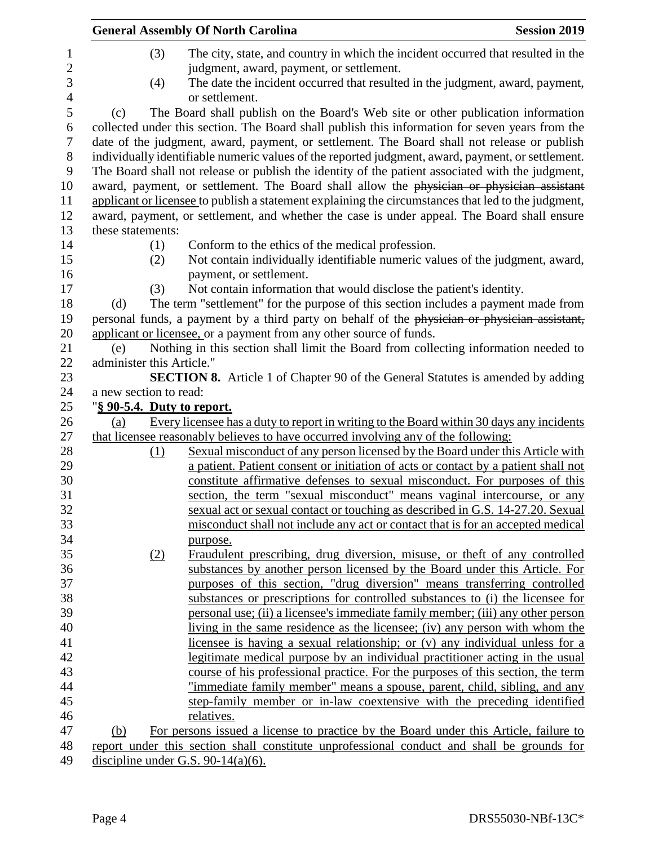|                                  |     | <b>General Assembly Of North Carolina</b>                                                           | <b>Session 2019</b> |
|----------------------------------|-----|-----------------------------------------------------------------------------------------------------|---------------------|
|                                  | (3) | The city, state, and country in which the incident occurred that resulted in the                    |                     |
|                                  |     | judgment, award, payment, or settlement.                                                            |                     |
|                                  | (4) | The date the incident occurred that resulted in the judgment, award, payment,                       |                     |
|                                  |     | or settlement.                                                                                      |                     |
| (c)                              |     | The Board shall publish on the Board's Web site or other publication information                    |                     |
|                                  |     | collected under this section. The Board shall publish this information for seven years from the     |                     |
|                                  |     | date of the judgment, award, payment, or settlement. The Board shall not release or publish         |                     |
|                                  |     | individually identifiable numeric values of the reported judgment, award, payment, or settlement.   |                     |
|                                  |     | The Board shall not release or publish the identity of the patient associated with the judgment,    |                     |
|                                  |     | award, payment, or settlement. The Board shall allow the physician or physician assistant           |                     |
|                                  |     | applicant or licensee to publish a statement explaining the circumstances that led to the judgment, |                     |
|                                  |     | award, payment, or settlement, and whether the case is under appeal. The Board shall ensure         |                     |
| these statements:                |     |                                                                                                     |                     |
|                                  | (1) | Conform to the ethics of the medical profession.                                                    |                     |
|                                  | (2) | Not contain individually identifiable numeric values of the judgment, award,                        |                     |
|                                  |     | payment, or settlement.                                                                             |                     |
|                                  | (3) | Not contain information that would disclose the patient's identity.                                 |                     |
| (d)                              |     | The term "settlement" for the purpose of this section includes a payment made from                  |                     |
|                                  |     | personal funds, a payment by a third party on behalf of the physician or physician assistant,       |                     |
|                                  |     | applicant or licensee, or a payment from any other source of funds.                                 |                     |
| (e)<br>administer this Article." |     | Nothing in this section shall limit the Board from collecting information needed to                 |                     |
|                                  |     | <b>SECTION 8.</b> Article 1 of Chapter 90 of the General Statutes is amended by adding              |                     |
| a new section to read:           |     |                                                                                                     |                     |
|                                  |     | "§ 90-5.4. Duty to report.                                                                          |                     |
| (a)                              |     | Every licensee has a duty to report in writing to the Board within 30 days any incidents            |                     |
|                                  |     | that licensee reasonably believes to have occurred involving any of the following:                  |                     |
|                                  | (1) | Sexual misconduct of any person licensed by the Board under this Article with                       |                     |
|                                  |     | a patient. Patient consent or initiation of acts or contact by a patient shall not                  |                     |
|                                  |     | constitute affirmative defenses to sexual misconduct. For purposes of this                          |                     |
|                                  |     | section, the term "sexual misconduct" means vaginal intercourse, or any                             |                     |
|                                  |     | sexual act or sexual contact or touching as described in G.S. 14-27.20. Sexual                      |                     |
|                                  |     | misconduct shall not include any act or contact that is for an accepted medical                     |                     |
|                                  |     | purpose.                                                                                            |                     |
|                                  | (2) | Fraudulent prescribing, drug diversion, misuse, or theft of any controlled                          |                     |
|                                  |     | substances by another person licensed by the Board under this Article. For                          |                     |
|                                  |     | purposes of this section, "drug diversion" means transferring controlled                            |                     |
|                                  |     | substances or prescriptions for controlled substances to (i) the licensee for                       |                     |
|                                  |     | personal use; (ii) a licensee's immediate family member; (iii) any other person                     |                     |
|                                  |     | living in the same residence as the licensee; (iv) any person with whom the                         |                     |
|                                  |     | licensee is having a sexual relationship; or (v) any individual unless for a                        |                     |
|                                  |     | legitimate medical purpose by an individual practitioner acting in the usual                        |                     |
|                                  |     | course of his professional practice. For the purposes of this section, the term                     |                     |
|                                  |     | "immediate family member" means a spouse, parent, child, sibling, and any                           |                     |
|                                  |     | step-family member or in-law coextensive with the preceding identified                              |                     |
|                                  |     | relatives.                                                                                          |                     |
| (b)                              |     | For persons issued a license to practice by the Board under this Article, failure to                |                     |
|                                  |     | report under this section shall constitute unprofessional conduct and shall be grounds for          |                     |
|                                  |     | discipline under G.S. 90-14(a)(6).                                                                  |                     |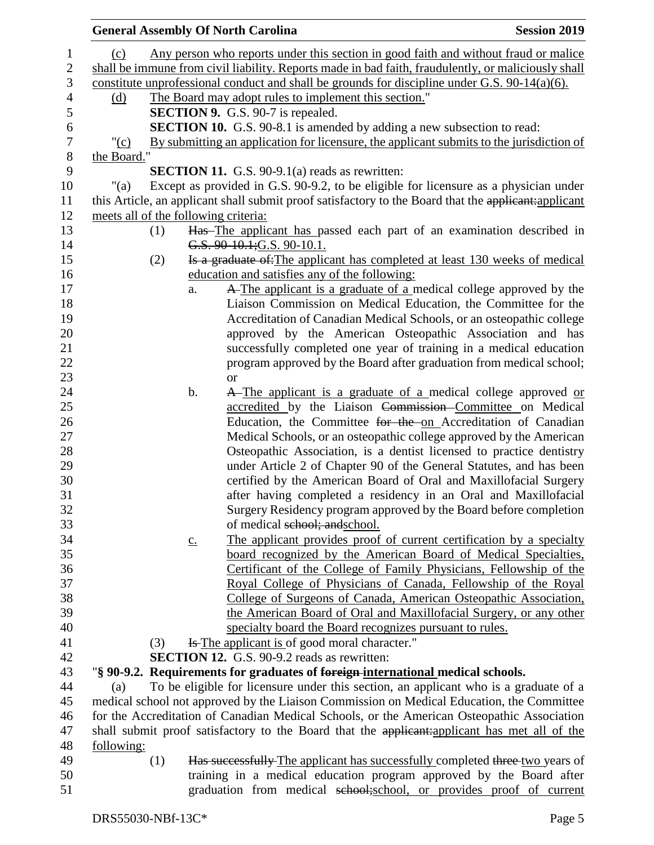|                |                                      |     |                   | <b>General Assembly Of North Carolina</b>                                                             | <b>Session 2019</b> |
|----------------|--------------------------------------|-----|-------------------|-------------------------------------------------------------------------------------------------------|---------------------|
| $\mathbf{1}$   | (c)                                  |     |                   | Any person who reports under this section in good faith and without fraud or malice                   |                     |
| $\mathbf{2}$   |                                      |     |                   | shall be immune from civil liability. Reports made in bad faith, fraudulently, or maliciously shall   |                     |
| 3              |                                      |     |                   | constitute unprofessional conduct and shall be grounds for discipline under G.S. $90-14(a)(6)$ .      |                     |
| $\overline{4}$ | (d)                                  |     |                   | The Board may adopt rules to implement this section."                                                 |                     |
| 5              |                                      |     |                   | <b>SECTION 9.</b> G.S. 90-7 is repealed.                                                              |                     |
| 6              |                                      |     |                   | <b>SECTION 10.</b> G.S. 90-8.1 is amended by adding a new subsection to read:                         |                     |
| $\tau$         | "(c)                                 |     |                   | By submitting an application for licensure, the applicant submits to the jurisdiction of              |                     |
| $8\,$          | the Board."                          |     |                   |                                                                                                       |                     |
| 9              |                                      |     |                   | <b>SECTION 11.</b> G.S. 90-9.1(a) reads as rewritten:                                                 |                     |
| 10             | "(a)                                 |     |                   | Except as provided in G.S. 90-9.2, to be eligible for licensure as a physician under                  |                     |
| 11             |                                      |     |                   | this Article, an applicant shall submit proof satisfactory to the Board that the applicant: applicant |                     |
| 12             | meets all of the following criteria: |     |                   |                                                                                                       |                     |
| 13             |                                      | (1) |                   | Has The applicant has passed each part of an examination described in                                 |                     |
| 14             |                                      |     |                   | G.S. 90-10.1; G.S. 90-10.1.                                                                           |                     |
| 15             |                                      | (2) |                   | Is a graduate of: The applicant has completed at least 130 weeks of medical                           |                     |
| 16             |                                      |     |                   | education and satisfies any of the following:                                                         |                     |
| 17             |                                      |     | a.                | A The applicant is a graduate of a medical college approved by the                                    |                     |
| 18             |                                      |     |                   | Liaison Commission on Medical Education, the Committee for the                                        |                     |
| 19             |                                      |     |                   | Accreditation of Canadian Medical Schools, or an osteopathic college                                  |                     |
| 20             |                                      |     |                   | approved by the American Osteopathic Association and has                                              |                     |
| 21             |                                      |     |                   | successfully completed one year of training in a medical education                                    |                     |
| 22             |                                      |     |                   | program approved by the Board after graduation from medical school;                                   |                     |
| 23             |                                      |     |                   | <b>or</b>                                                                                             |                     |
| 24             |                                      |     | b.                | A The applicant is a graduate of a medical college approved or                                        |                     |
| 25             |                                      |     |                   | accredited by the Liaison Commission-Committee on Medical                                             |                     |
| 26             |                                      |     |                   | Education, the Committee for the on Accreditation of Canadian                                         |                     |
| 27             |                                      |     |                   | Medical Schools, or an osteopathic college approved by the American                                   |                     |
| 28             |                                      |     |                   | Osteopathic Association, is a dentist licensed to practice dentistry                                  |                     |
| 29             |                                      |     |                   | under Article 2 of Chapter 90 of the General Statutes, and has been                                   |                     |
| 30             |                                      |     |                   | certified by the American Board of Oral and Maxillofacial Surgery                                     |                     |
| 31             |                                      |     |                   | after having completed a residency in an Oral and Maxillofacial                                       |                     |
| 32             |                                      |     |                   | Surgery Residency program approved by the Board before completion                                     |                     |
| 33             |                                      |     |                   | of medical school; and school.                                                                        |                     |
| 34             |                                      |     | $\underline{c}$ . | The applicant provides proof of current certification by a specialty                                  |                     |
| 35             |                                      |     |                   | board recognized by the American Board of Medical Specialties,                                        |                     |
| 36             |                                      |     |                   | Certificant of the College of Family Physicians, Fellowship of the                                    |                     |
| 37             |                                      |     |                   | Royal College of Physicians of Canada, Fellowship of the Royal                                        |                     |
| 38             |                                      |     |                   | College of Surgeons of Canada, American Osteopathic Association,                                      |                     |
| 39             |                                      |     |                   | the American Board of Oral and Maxillofacial Surgery, or any other                                    |                     |
| 40             |                                      |     |                   | specialty board the Board recognizes pursuant to rules.                                               |                     |
| 41             |                                      | (3) |                   | <b>Is The applicant is of good moral character.</b> "                                                 |                     |
| 42             |                                      |     |                   | <b>SECTION 12.</b> G.S. 90-9.2 reads as rewritten:                                                    |                     |
| 43             |                                      |     |                   | "§ 90-9.2. Requirements for graduates of foreign-international medical schools.                       |                     |
| 44             | (a)                                  |     |                   | To be eligible for licensure under this section, an applicant who is a graduate of a                  |                     |
| 45             |                                      |     |                   | medical school not approved by the Liaison Commission on Medical Education, the Committee             |                     |
| 46             |                                      |     |                   | for the Accreditation of Canadian Medical Schools, or the American Osteopathic Association            |                     |
| 47             |                                      |     |                   | shall submit proof satisfactory to the Board that the applicant:applicant has met all of the          |                     |
| 48             | following:                           |     |                   |                                                                                                       |                     |
| 49             |                                      | (1) |                   | Has successfully The applicant has successfully completed three two years of                          |                     |
| 50             |                                      |     |                   | training in a medical education program approved by the Board after                                   |                     |
| 51             |                                      |     |                   | graduation from medical school; school, or provides proof of current                                  |                     |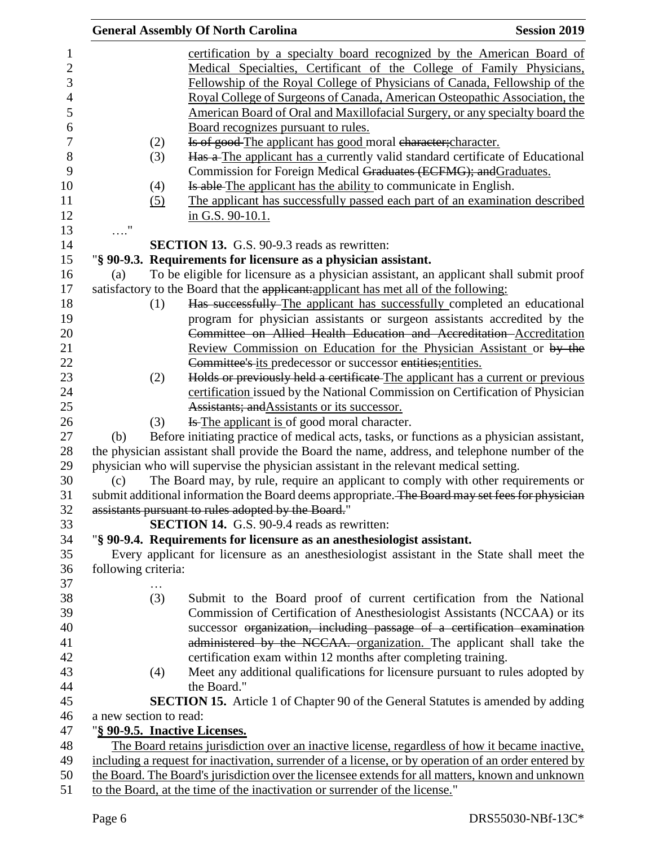|            |                        | <b>General Assembly Of North Carolina</b>                                                                                                                                                              | <b>Session 2019</b> |
|------------|------------------------|--------------------------------------------------------------------------------------------------------------------------------------------------------------------------------------------------------|---------------------|
|            |                        | certification by a specialty board recognized by the American Board of                                                                                                                                 |                     |
|            |                        | Medical Specialties, Certificant of the College of Family Physicians,<br>Fellowship of the Royal College of Physicians of Canada, Fellowship of the                                                    |                     |
|            |                        | Royal College of Surgeons of Canada, American Osteopathic Association, the                                                                                                                             |                     |
|            |                        | American Board of Oral and Maxillofacial Surgery, or any specialty board the                                                                                                                           |                     |
|            |                        | Board recognizes pursuant to rules.                                                                                                                                                                    |                     |
|            | (2)                    | Is of good-The applicant has good moral character; character.                                                                                                                                          |                     |
|            | (3)                    | Has a The applicant has a currently valid standard certificate of Educational<br>Commission for Foreign Medical Graduates (ECFMG); and Graduates.                                                      |                     |
|            | (4)                    | Is able The applicant has the ability to communicate in English.                                                                                                                                       |                     |
|            | (5)                    | The applicant has successfully passed each part of an examination described                                                                                                                            |                     |
|            |                        | in G.S. 90-10.1.                                                                                                                                                                                       |                     |
| $\ldots$ " |                        |                                                                                                                                                                                                        |                     |
|            |                        | <b>SECTION 13.</b> G.S. 90-9.3 reads as rewritten:                                                                                                                                                     |                     |
|            |                        | "§ 90-9.3. Requirements for licensure as a physician assistant.                                                                                                                                        |                     |
| (a)        |                        | To be eligible for licensure as a physician assistant, an applicant shall submit proof                                                                                                                 |                     |
|            |                        | satisfactory to the Board that the applicant: applicant has met all of the following:                                                                                                                  |                     |
|            | (1)                    | Has successfully-The applicant has successfully completed an educational                                                                                                                               |                     |
|            |                        | program for physician assistants or surgeon assistants accredited by the                                                                                                                               |                     |
|            |                        | Committee on Allied Health Education and Accreditation-Accreditation                                                                                                                                   |                     |
|            |                        | Review Commission on Education for the Physician Assistant or by the                                                                                                                                   |                     |
|            |                        | Committee's its predecessor or successor entities; entities.                                                                                                                                           |                     |
|            | (2)                    | Holds or previously held a certificate-The applicant has a current or previous                                                                                                                         |                     |
|            |                        | certification issued by the National Commission on Certification of Physician                                                                                                                          |                     |
|            |                        | Assistants; and Assistants or its successor.                                                                                                                                                           |                     |
|            | (3)                    | <b>Is The applicant is of good moral character.</b>                                                                                                                                                    |                     |
| (b)        |                        | Before initiating practice of medical acts, tasks, or functions as a physician assistant,                                                                                                              |                     |
|            |                        | the physician assistant shall provide the Board the name, address, and telephone number of the                                                                                                         |                     |
|            |                        | physician who will supervise the physician assistant in the relevant medical setting.                                                                                                                  |                     |
| (c)        |                        | The Board may, by rule, require an applicant to comply with other requirements or                                                                                                                      |                     |
|            |                        | submit additional information the Board deems appropriate. The Board may set fees for physician                                                                                                        |                     |
|            |                        | assistants pursuant to rules adopted by the Board."                                                                                                                                                    |                     |
|            |                        | SECTION 14. G.S. 90-9.4 reads as rewritten:                                                                                                                                                            |                     |
|            |                        | "§ 90-9.4. Requirements for licensure as an anesthesiologist assistant.                                                                                                                                |                     |
|            |                        | Every applicant for licensure as an anesthesiologist assistant in the State shall meet the                                                                                                             |                     |
|            | following criteria:    |                                                                                                                                                                                                        |                     |
|            |                        |                                                                                                                                                                                                        |                     |
|            | (3)                    | Submit to the Board proof of current certification from the National                                                                                                                                   |                     |
|            |                        | Commission of Certification of Anesthesiologist Assistants (NCCAA) or its                                                                                                                              |                     |
|            |                        | successor organization, including passage of a certification examination                                                                                                                               |                     |
|            |                        | administered by the NCCAA. organization. The applicant shall take the                                                                                                                                  |                     |
|            |                        | certification exam within 12 months after completing training.                                                                                                                                         |                     |
|            | (4)                    | Meet any additional qualifications for licensure pursuant to rules adopted by<br>the Board."                                                                                                           |                     |
|            |                        |                                                                                                                                                                                                        |                     |
|            | a new section to read: | <b>SECTION 15.</b> Article 1 of Chapter 90 of the General Statutes is amended by adding                                                                                                                |                     |
|            |                        |                                                                                                                                                                                                        |                     |
|            |                        | "§ 90-9.5. Inactive Licenses.                                                                                                                                                                          |                     |
|            |                        | The Board retains jurisdiction over an inactive license, regardless of how it became inactive,<br>including a request for inactivation, surrender of a license, or by operation of an order entered by |                     |
|            |                        | the Board. The Board's jurisdiction over the licensee extends for all matters, known and unknown                                                                                                       |                     |
|            |                        | to the Board, at the time of the inactivation or surrender of the license."                                                                                                                            |                     |
|            |                        |                                                                                                                                                                                                        |                     |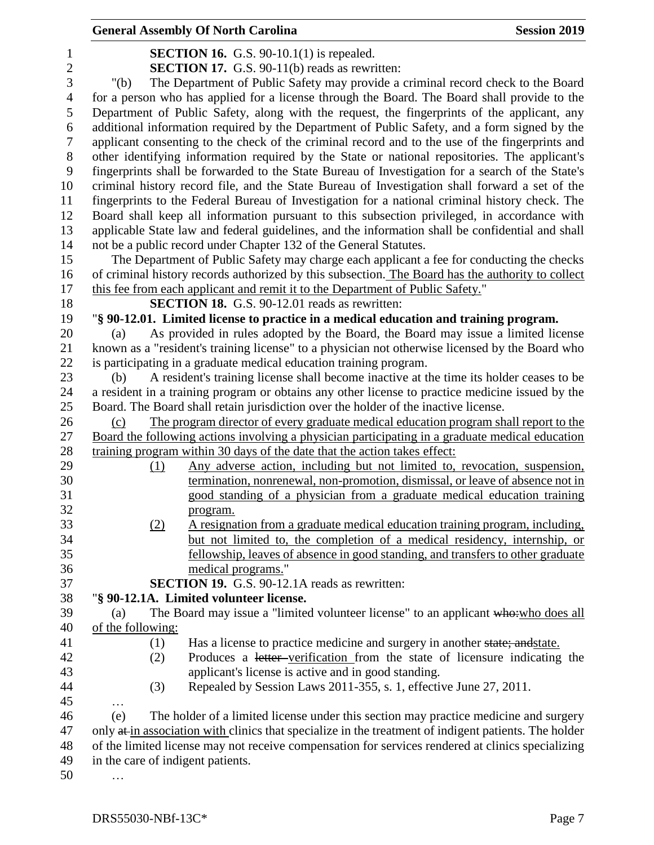|                |                                   | <b>General Assembly Of North Carolina</b>                                                             | <b>Session 2019</b> |
|----------------|-----------------------------------|-------------------------------------------------------------------------------------------------------|---------------------|
| 1              |                                   | <b>SECTION 16.</b> G.S. 90-10.1(1) is repealed.                                                       |                     |
| $\overline{c}$ |                                   | SECTION 17. G.S. 90-11(b) reads as rewritten:                                                         |                     |
| 3              | " $(b)$                           | The Department of Public Safety may provide a criminal record check to the Board                      |                     |
| $\overline{4}$ |                                   | for a person who has applied for a license through the Board. The Board shall provide to the          |                     |
| 5              |                                   | Department of Public Safety, along with the request, the fingerprints of the applicant, any           |                     |
| 6              |                                   | additional information required by the Department of Public Safety, and a form signed by the          |                     |
| $\tau$         |                                   | applicant consenting to the check of the criminal record and to the use of the fingerprints and       |                     |
| $8\,$          |                                   | other identifying information required by the State or national repositories. The applicant's         |                     |
| 9              |                                   | fingerprints shall be forwarded to the State Bureau of Investigation for a search of the State's      |                     |
| 10             |                                   | criminal history record file, and the State Bureau of Investigation shall forward a set of the        |                     |
| 11             |                                   | fingerprints to the Federal Bureau of Investigation for a national criminal history check. The        |                     |
| 12             |                                   | Board shall keep all information pursuant to this subsection privileged, in accordance with           |                     |
| 13             |                                   | applicable State law and federal guidelines, and the information shall be confidential and shall      |                     |
| 14             |                                   | not be a public record under Chapter 132 of the General Statutes.                                     |                     |
| 15             |                                   | The Department of Public Safety may charge each applicant a fee for conducting the checks             |                     |
| 16             |                                   | of criminal history records authorized by this subsection. The Board has the authority to collect     |                     |
| 17             |                                   | this fee from each applicant and remit it to the Department of Public Safety."                        |                     |
| 18             |                                   | <b>SECTION 18.</b> G.S. 90-12.01 reads as rewritten:                                                  |                     |
| 19             |                                   | "§ 90-12.01. Limited license to practice in a medical education and training program.                 |                     |
| 20             | (a)                               | As provided in rules adopted by the Board, the Board may issue a limited license                      |                     |
| 21             |                                   | known as a "resident's training license" to a physician not otherwise licensed by the Board who       |                     |
| 22             |                                   | is participating in a graduate medical education training program.                                    |                     |
| 23             | (b)                               | A resident's training license shall become inactive at the time its holder ceases to be               |                     |
| 24             |                                   | a resident in a training program or obtains any other license to practice medicine issued by the      |                     |
| 25             |                                   | Board. The Board shall retain jurisdiction over the holder of the inactive license.                   |                     |
| 26             | (c)                               | The program director of every graduate medical education program shall report to the                  |                     |
| 27             |                                   | Board the following actions involving a physician participating in a graduate medical education       |                     |
| 28             |                                   | training program within 30 days of the date that the action takes effect:                             |                     |
| 29             | (1)                               | Any adverse action, including but not limited to, revocation, suspension,                             |                     |
| 30             |                                   | termination, nonrenewal, non-promotion, dismissal, or leave of absence not in                         |                     |
| 31             |                                   | good standing of a physician from a graduate medical education training                               |                     |
| 32             |                                   | program.                                                                                              |                     |
| 33             | (2)                               | A resignation from a graduate medical education training program, including,                          |                     |
| 34             |                                   | but not limited to, the completion of a medical residency, internship, or                             |                     |
| 35             |                                   | fellowship, leaves of absence in good standing, and transfers to other graduate                       |                     |
| 36             |                                   | medical programs."                                                                                    |                     |
| 37             |                                   | SECTION 19. G.S. 90-12.1A reads as rewritten:                                                         |                     |
| 38             |                                   | "§ 90-12.1A. Limited volunteer license.                                                               |                     |
| 39             | (a)                               | The Board may issue a "limited volunteer license" to an applicant who: who does all                   |                     |
| 40             | of the following:                 |                                                                                                       |                     |
| 41             | (1)                               | Has a license to practice medicine and surgery in another state; and state.                           |                     |
| 42             | (2)                               | Produces a letter-verification from the state of licensure indicating the                             |                     |
| 43             |                                   | applicant's license is active and in good standing.                                                   |                     |
| 44             | (3)                               | Repealed by Session Laws 2011-355, s. 1, effective June 27, 2011.                                     |                     |
| 45             | $\cdots$                          |                                                                                                       |                     |
| 46             | (e)                               | The holder of a limited license under this section may practice medicine and surgery                  |                     |
| 47             |                                   | only at in association with clinics that specialize in the treatment of indigent patients. The holder |                     |
| 48             |                                   | of the limited license may not receive compensation for services rendered at clinics specializing     |                     |
| 49             | in the care of indigent patients. |                                                                                                       |                     |
| 50             |                                   |                                                                                                       |                     |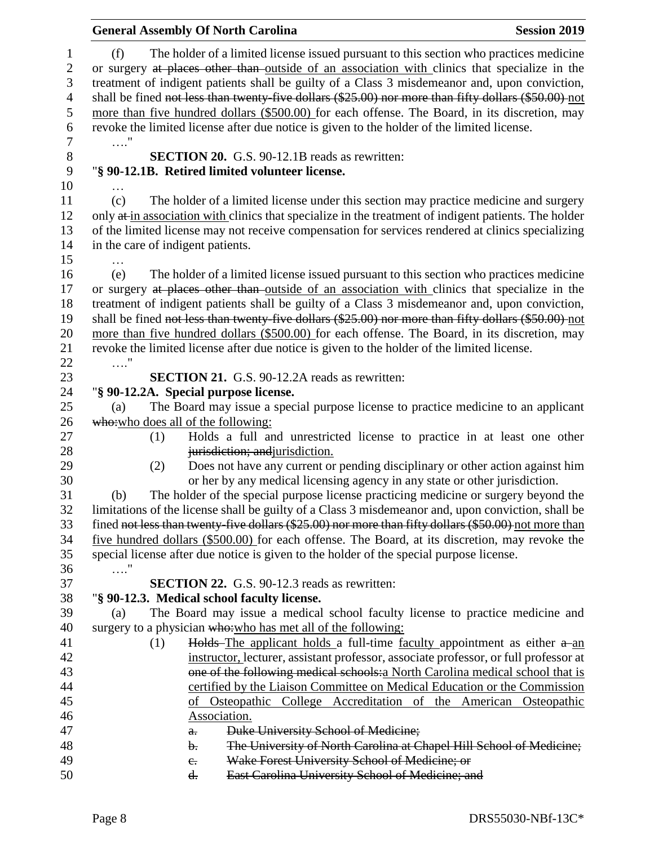|            | <b>General Assembly Of North Carolina</b>                                                                                                                                                                                                                                                                                                                                                                                                                                                                                                                                                       | <b>Session 2019</b> |
|------------|-------------------------------------------------------------------------------------------------------------------------------------------------------------------------------------------------------------------------------------------------------------------------------------------------------------------------------------------------------------------------------------------------------------------------------------------------------------------------------------------------------------------------------------------------------------------------------------------------|---------------------|
| (f)<br>. " | The holder of a limited license issued pursuant to this section who practices medicine<br>or surgery at places other than outside of an association with clinics that specialize in the<br>treatment of indigent patients shall be guilty of a Class 3 misdemeanor and, upon conviction,<br>shall be fined not less than twenty-five dollars (\$25.00) nor more than fifty dollars (\$50.00) not<br>more than five hundred dollars (\$500.00) for each offense. The Board, in its discretion, may<br>revoke the limited license after due notice is given to the holder of the limited license. |                     |
|            | <b>SECTION 20.</b> G.S. 90-12.1B reads as rewritten:<br>"§ 90-12.1B. Retired limited volunteer license.                                                                                                                                                                                                                                                                                                                                                                                                                                                                                         |                     |
| (c)        | The holder of a limited license under this section may practice medicine and surgery<br>only at in association with clinics that specialize in the treatment of indigent patients. The holder<br>of the limited license may not receive compensation for services rendered at clinics specializing<br>in the care of indigent patients.                                                                                                                                                                                                                                                         |                     |
| (e)        | The holder of a limited license issued pursuant to this section who practices medicine<br>or surgery at places other than outside of an association with clinics that specialize in the<br>treatment of indigent patients shall be guilty of a Class 3 misdemeanor and, upon conviction,<br>shall be fined not less than twenty-five dollars (\$25.00) nor more than fifty dollars (\$50.00) not<br>more than five hundred dollars (\$500.00) for each offense. The Board, in its discretion, may<br>revoke the limited license after due notice is given to the holder of the limited license. |                     |
| . "        | <b>SECTION 21.</b> G.S. 90-12.2A reads as rewritten:                                                                                                                                                                                                                                                                                                                                                                                                                                                                                                                                            |                     |
|            | "§ 90-12.2A. Special purpose license.                                                                                                                                                                                                                                                                                                                                                                                                                                                                                                                                                           |                     |
| (a)        | The Board may issue a special purpose license to practice medicine to an applicant                                                                                                                                                                                                                                                                                                                                                                                                                                                                                                              |                     |
|            | who: who does all of the following:                                                                                                                                                                                                                                                                                                                                                                                                                                                                                                                                                             |                     |
| (1)        | Holds a full and unrestricted license to practice in at least one other                                                                                                                                                                                                                                                                                                                                                                                                                                                                                                                         |                     |
|            | jurisdiction; and jurisdiction.                                                                                                                                                                                                                                                                                                                                                                                                                                                                                                                                                                 |                     |
| (2)        | Does not have any current or pending disciplinary or other action against him                                                                                                                                                                                                                                                                                                                                                                                                                                                                                                                   |                     |
|            | or her by any medical licensing agency in any state or other jurisdiction.                                                                                                                                                                                                                                                                                                                                                                                                                                                                                                                      |                     |
| (b)        | The holder of the special purpose license practicing medicine or surgery beyond the                                                                                                                                                                                                                                                                                                                                                                                                                                                                                                             |                     |
|            | limitations of the license shall be guilty of a Class 3 misdemeanor and, upon conviction, shall be<br>fined not less than twenty five dollars (\$25.00) nor more than fifty dollars (\$50.00) not more than                                                                                                                                                                                                                                                                                                                                                                                     |                     |
|            | five hundred dollars (\$500.00) for each offense. The Board, at its discretion, may revoke the                                                                                                                                                                                                                                                                                                                                                                                                                                                                                                  |                     |
|            | special license after due notice is given to the holder of the special purpose license.                                                                                                                                                                                                                                                                                                                                                                                                                                                                                                         |                     |
| $\ldots$ " |                                                                                                                                                                                                                                                                                                                                                                                                                                                                                                                                                                                                 |                     |
|            | <b>SECTION 22.</b> G.S. 90-12.3 reads as rewritten:                                                                                                                                                                                                                                                                                                                                                                                                                                                                                                                                             |                     |
|            | "§ 90-12.3. Medical school faculty license.                                                                                                                                                                                                                                                                                                                                                                                                                                                                                                                                                     |                     |
| (a)        | The Board may issue a medical school faculty license to practice medicine and                                                                                                                                                                                                                                                                                                                                                                                                                                                                                                                   |                     |
|            | surgery to a physician who: who has met all of the following:                                                                                                                                                                                                                                                                                                                                                                                                                                                                                                                                   |                     |
| (1)        | Holds-The applicant holds a full-time faculty appointment as either a-an                                                                                                                                                                                                                                                                                                                                                                                                                                                                                                                        |                     |
|            | instructor, lecturer, assistant professor, associate professor, or full professor at                                                                                                                                                                                                                                                                                                                                                                                                                                                                                                            |                     |
|            | one of the following medical schools: a North Carolina medical school that is                                                                                                                                                                                                                                                                                                                                                                                                                                                                                                                   |                     |
|            | certified by the Liaison Committee on Medical Education or the Commission                                                                                                                                                                                                                                                                                                                                                                                                                                                                                                                       |                     |
|            | of Osteopathic College Accreditation of the American Osteopathic                                                                                                                                                                                                                                                                                                                                                                                                                                                                                                                                |                     |
|            | Association.<br>Duke University School of Medicine;                                                                                                                                                                                                                                                                                                                                                                                                                                                                                                                                             |                     |
|            | $a_{\overline{r}}$<br>The University of North Carolina at Chapel Hill School of Medicine;<br>b.                                                                                                                                                                                                                                                                                                                                                                                                                                                                                                 |                     |
|            | Wake Forest University School of Medicine; or<br>$e_{\cdot}$                                                                                                                                                                                                                                                                                                                                                                                                                                                                                                                                    |                     |
|            | East Carolina University School of Medicine; and<br>d.                                                                                                                                                                                                                                                                                                                                                                                                                                                                                                                                          |                     |
|            |                                                                                                                                                                                                                                                                                                                                                                                                                                                                                                                                                                                                 |                     |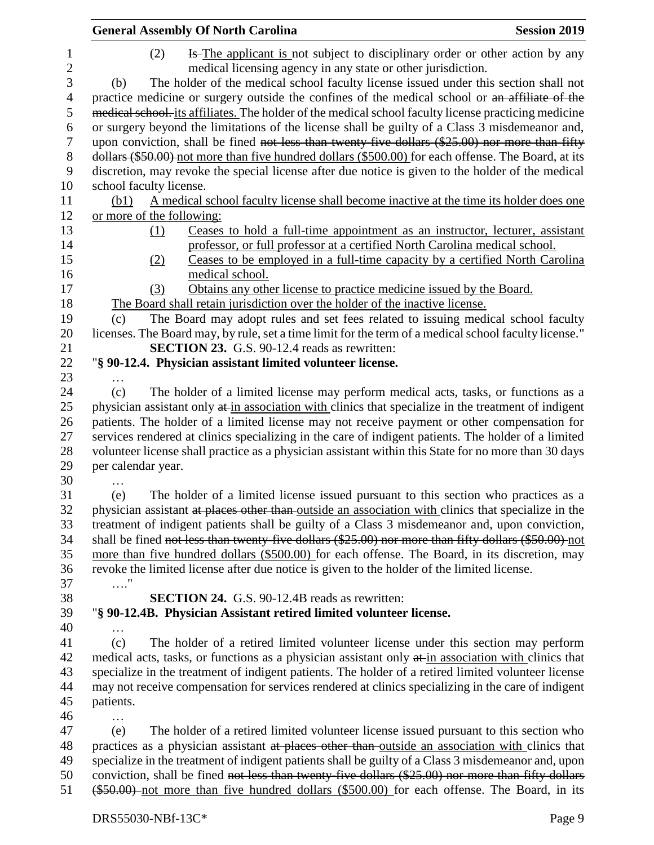|                  | <b>Session 2019</b><br><b>General Assembly Of North Carolina</b>                                      |
|------------------|-------------------------------------------------------------------------------------------------------|
| $\mathbf{1}$     | <del>Is</del> -The applicant is not subject to disciplinary order or other action by any<br>(2)       |
| $\boldsymbol{2}$ | medical licensing agency in any state or other jurisdiction.                                          |
| 3                | The holder of the medical school faculty license issued under this section shall not<br>(b)           |
| $\overline{4}$   | practice medicine or surgery outside the confines of the medical school or an affiliate of the        |
| 5                | medical school, its affiliates. The holder of the medical school faculty license practicing medicine  |
| 6                | or surgery beyond the limitations of the license shall be guilty of a Class 3 misdemeanor and,        |
| 7                | upon conviction, shall be fined not less than twenty five dollars (\$25.00) nor more than fifty       |
| $8\,$            | dollars (\$50.00) not more than five hundred dollars (\$500.00) for each offense. The Board, at its   |
| 9                | discretion, may revoke the special license after due notice is given to the holder of the medical     |
| 10               | school faculty license.                                                                               |
| 11               | (b1) A medical school faculty license shall become inactive at the time its holder does one           |
| 12               | or more of the following:                                                                             |
| 13               | Ceases to hold a full-time appointment as an instructor, lecturer, assistant<br>(1)                   |
| 14               | professor, or full professor at a certified North Carolina medical school.                            |
| 15               | Ceases to be employed in a full-time capacity by a certified North Carolina<br>(2)                    |
| 16               | medical school.                                                                                       |
| 17               | Obtains any other license to practice medicine issued by the Board.<br>(3)                            |
| 18               | The Board shall retain jurisdiction over the holder of the inactive license.                          |
| 19               | The Board may adopt rules and set fees related to issuing medical school faculty<br>(c)               |
| 20               | licenses. The Board may, by rule, set a time limit for the term of a medical school faculty license." |
| 21               | <b>SECTION 23.</b> G.S. 90-12.4 reads as rewritten:                                                   |
| 22               | "§ 90-12.4. Physician assistant limited volunteer license.                                            |
| 23               |                                                                                                       |
| 24               | (c)<br>The holder of a limited license may perform medical acts, tasks, or functions as a             |
| 25               | physician assistant only at in association with clinics that specialize in the treatment of indigent  |
| 26               | patients. The holder of a limited license may not receive payment or other compensation for           |
| 27               | services rendered at clinics specializing in the care of indigent patients. The holder of a limited   |
| 28               | volunteer license shall practice as a physician assistant within this State for no more than 30 days  |
| 29               | per calendar year.                                                                                    |
| 30               | .                                                                                                     |
| 31               | The holder of a limited license issued pursuant to this section who practices as a<br>(e)             |
| 32               | physician assistant at places other than outside an association with clinics that specialize in the   |
| 33               | treatment of indigent patients shall be guilty of a Class 3 misdemeanor and, upon conviction,         |
| 34               | shall be fined not less than twenty-five dollars (\$25.00) nor more than fifty dollars (\$50.00) not  |
| 35               | more than five hundred dollars (\$500.00) for each offense. The Board, in its discretion, may         |
| 36               | revoke the limited license after due notice is given to the holder of the limited license.            |
| 37               | $\ldots$ "                                                                                            |
| 38               | <b>SECTION 24.</b> G.S. 90-12.4B reads as rewritten:                                                  |
| 39               | "§ 90-12.4B. Physician Assistant retired limited volunteer license.                                   |
| 40               | $\cdots$                                                                                              |
| 41               | The holder of a retired limited volunteer license under this section may perform<br>(c)               |
| 42               | medical acts, tasks, or functions as a physician assistant only at in association with clinics that   |
| 43               | specialize in the treatment of indigent patients. The holder of a retired limited volunteer license   |
| 44               | may not receive compensation for services rendered at clinics specializing in the care of indigent    |
| 45               | patients.                                                                                             |
| 46               | $\cdots$                                                                                              |
| 47               | The holder of a retired limited volunteer license issued pursuant to this section who<br>(e)          |
| 48               | practices as a physician assistant at places other than outside an association with clinics that      |
| 49               | specialize in the treatment of indigent patients shall be guilty of a Class 3 misdemeanor and, upon   |
| 50               | conviction, shall be fined not less than twenty-five dollars (\$25.00) nor more than fifty dollars    |
| 51               | (\$50.00) not more than five hundred dollars (\$500.00) for each offense. The Board, in its           |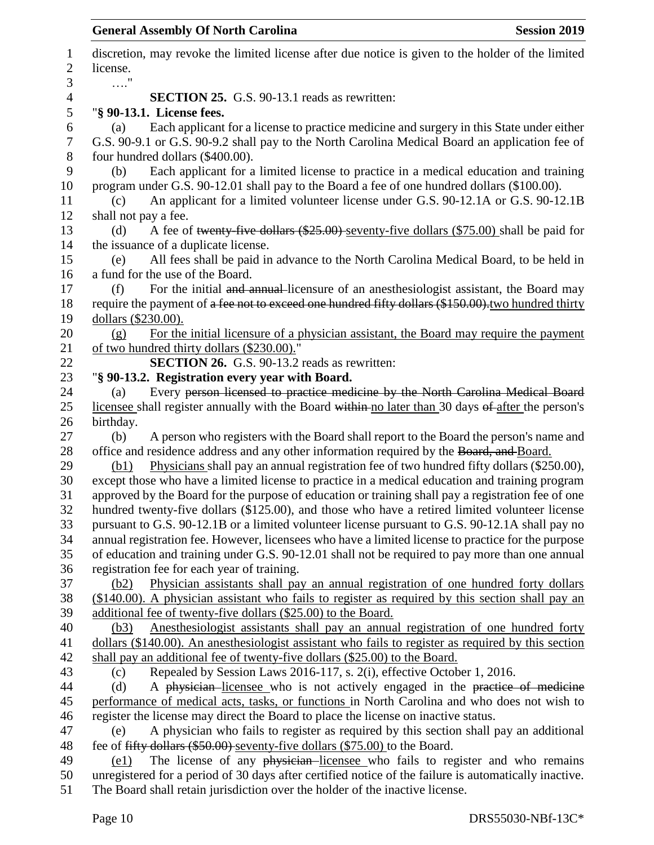| 1              | discretion, may revoke the limited license after due notice is given to the holder of the limited                                                                                                 |
|----------------|---------------------------------------------------------------------------------------------------------------------------------------------------------------------------------------------------|
| $\overline{2}$ | license.                                                                                                                                                                                          |
| 3              | $\ldots$ "                                                                                                                                                                                        |
| 4              | <b>SECTION 25.</b> G.S. 90-13.1 reads as rewritten:                                                                                                                                               |
| 5              | "§ 90-13.1. License fees.                                                                                                                                                                         |
| 6<br>7         | Each applicant for a license to practice medicine and surgery in this State under either<br>(a)<br>G.S. 90-9.1 or G.S. 90-9.2 shall pay to the North Carolina Medical Board an application fee of |
| $8\,$          | four hundred dollars (\$400.00).                                                                                                                                                                  |
| 9              | Each applicant for a limited license to practice in a medical education and training<br>(b)                                                                                                       |
| 10<br>11       | program under G.S. 90-12.01 shall pay to the Board a fee of one hundred dollars (\$100.00).<br>An applicant for a limited volunteer license under G.S. 90-12.1A or G.S. 90-12.1B<br>(c)           |
| 12             | shall not pay a fee.                                                                                                                                                                              |
| 13             | A fee of twenty-five dollars $(\$25.00)$ -seventy-five dollars $(\$75.00)$ shall be paid for<br>(d)                                                                                               |
| 14             | the issuance of a duplicate license.                                                                                                                                                              |
| 15             | All fees shall be paid in advance to the North Carolina Medical Board, to be held in<br>(e)                                                                                                       |
| 16             | a fund for the use of the Board.                                                                                                                                                                  |
| 17             | For the initial and annual-licensure of an anesthesiologist assistant, the Board may<br>(f)                                                                                                       |
| 18             | require the payment of a fee not to exceed one hundred fifty dollars (\$150.00), two hundred thirty                                                                                               |
| 19             | dollars (\$230.00).                                                                                                                                                                               |
| 20             | For the initial licensure of a physician assistant, the Board may require the payment<br>(g)                                                                                                      |
| 21             | of two hundred thirty dollars (\$230.00)."                                                                                                                                                        |
| 22             | <b>SECTION 26.</b> G.S. 90-13.2 reads as rewritten:                                                                                                                                               |
| 23             | "§ 90-13.2. Registration every year with Board.                                                                                                                                                   |
| 24             | Every person licensed to practice medicine by the North Carolina Medical Board<br>(a)                                                                                                             |
| 25             | licensee shall register annually with the Board within no later than 30 days of after the person's                                                                                                |
| 26             | birthday.                                                                                                                                                                                         |
| 27             | A person who registers with the Board shall report to the Board the person's name and<br>(b)                                                                                                      |
| 28             | office and residence address and any other information required by the Board, and Board.                                                                                                          |
| 29             | Physicians shall pay an annual registration fee of two hundred fifty dollars (\$250.00),<br>(b1)                                                                                                  |
| 30             | except those who have a limited license to practice in a medical education and training program                                                                                                   |
| 31             | approved by the Board for the purpose of education or training shall pay a registration fee of one                                                                                                |
| 32             | hundred twenty-five dollars (\$125.00), and those who have a retired limited volunteer license                                                                                                    |
| 33             | pursuant to G.S. 90-12.1B or a limited volunteer license pursuant to G.S. 90-12.1A shall pay no                                                                                                   |
| 34             | annual registration fee. However, licensees who have a limited license to practice for the purpose                                                                                                |
| 35             | of education and training under G.S. 90-12.01 shall not be required to pay more than one annual                                                                                                   |
| 36             | registration fee for each year of training.                                                                                                                                                       |
| 37             | Physician assistants shall pay an annual registration of one hundred forty dollars<br>(b2)                                                                                                        |
| 38             | (\$140.00). A physician assistant who fails to register as required by this section shall pay an                                                                                                  |
| 39             | additional fee of twenty-five dollars (\$25.00) to the Board.                                                                                                                                     |
| 40             | Anesthesiologist assistants shall pay an annual registration of one hundred forty<br>(b3)                                                                                                         |
| 41             | dollars (\$140.00). An anesthesiologist assistant who fails to register as required by this section                                                                                               |
| 42             | shall pay an additional fee of twenty-five dollars (\$25.00) to the Board.                                                                                                                        |
| 43             | Repealed by Session Laws 2016-117, s. 2(i), effective October 1, 2016.<br>(c)                                                                                                                     |
| 44             | A physician licensee who is not actively engaged in the practice of medicine<br>(d)                                                                                                               |
| 45             | performance of medical acts, tasks, or functions in North Carolina and who does not wish to                                                                                                       |
| 46             | register the license may direct the Board to place the license on inactive status.                                                                                                                |
| 47             | A physician who fails to register as required by this section shall pay an additional<br>(e)                                                                                                      |
| 48             | fee of fifty dollars (\$50.00) seventy-five dollars (\$75.00) to the Board.                                                                                                                       |
| 49             | The license of any physician-licensee who fails to register and who remains<br>(e1)                                                                                                               |
| 50             | unregistered for a period of 30 days after certified notice of the failure is automatically inactive.                                                                                             |
| 51             | The Board shall retain jurisdiction over the holder of the inactive license.                                                                                                                      |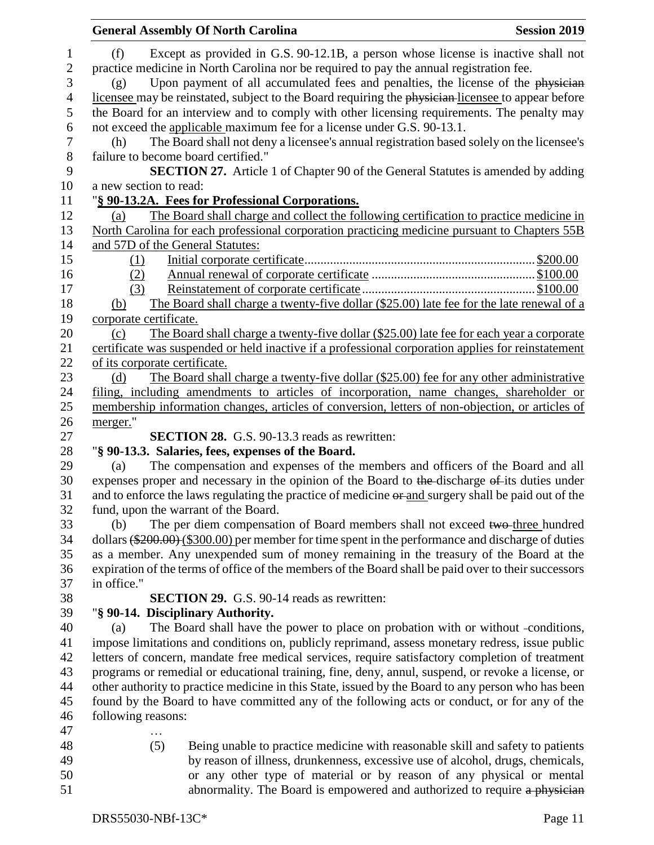|                        | <b>General Assembly Of North Carolina</b>                                                            | <b>Session 2019</b> |
|------------------------|------------------------------------------------------------------------------------------------------|---------------------|
| (f)                    | Except as provided in G.S. 90-12.1B, a person whose license is inactive shall not                    |                     |
|                        | practice medicine in North Carolina nor be required to pay the annual registration fee.              |                     |
| (g)                    | Upon payment of all accumulated fees and penalties, the license of the physician                     |                     |
|                        | licensee may be reinstated, subject to the Board requiring the physician-licensee to appear before   |                     |
|                        | the Board for an interview and to comply with other licensing requirements. The penalty may          |                     |
|                        | not exceed the applicable maximum fee for a license under G.S. 90-13.1.                              |                     |
| (h)                    | The Board shall not deny a licensee's annual registration based solely on the licensee's             |                     |
|                        | failure to become board certified."                                                                  |                     |
|                        | <b>SECTION 27.</b> Article 1 of Chapter 90 of the General Statutes is amended by adding              |                     |
| a new section to read: |                                                                                                      |                     |
|                        | "§ 90-13.2A. Fees for Professional Corporations.                                                     |                     |
| (a)                    | The Board shall charge and collect the following certification to practice medicine in               |                     |
|                        | North Carolina for each professional corporation practicing medicine pursuant to Chapters 55B        |                     |
|                        | and 57D of the General Statutes:                                                                     |                     |
| (1)                    |                                                                                                      |                     |
| (2)                    |                                                                                                      |                     |
| (3)                    |                                                                                                      |                     |
| (b)                    | The Board shall charge a twenty-five dollar (\$25.00) late fee for the late renewal of a             |                     |
| corporate certificate. |                                                                                                      |                     |
| (c)                    | The Board shall charge a twenty-five dollar (\$25.00) late fee for each year a corporate             |                     |
|                        | certificate was suspended or held inactive if a professional corporation applies for reinstatement   |                     |
|                        | of its corporate certificate.                                                                        |                     |
| (d)                    | The Board shall charge a twenty-five dollar (\$25.00) fee for any other administrative               |                     |
|                        | filing, including amendments to articles of incorporation, name changes, shareholder or              |                     |
|                        | membership information changes, articles of conversion, letters of non-objection, or articles of     |                     |
| merger."               |                                                                                                      |                     |
|                        | <b>SECTION 28.</b> G.S. 90-13.3 reads as rewritten:                                                  |                     |
|                        | "§ 90-13.3. Salaries, fees, expenses of the Board.                                                   |                     |
| (a)                    | The compensation and expenses of the members and officers of the Board and all                       |                     |
|                        | expenses proper and necessary in the opinion of the Board to the-discharge of-its duties under       |                     |
|                        | and to enforce the laws regulating the practice of medicine or and surgery shall be paid out of the  |                     |
|                        | fund, upon the warrant of the Board.                                                                 |                     |
| (b)                    | The per diem compensation of Board members shall not exceed two-three hundred                        |                     |
|                        | dollars (\$200.00) (\$300.00) per member for time spent in the performance and discharge of duties   |                     |
|                        | as a member. Any unexpended sum of money remaining in the treasury of the Board at the               |                     |
|                        | expiration of the terms of office of the members of the Board shall be paid over to their successors |                     |
| in office."            |                                                                                                      |                     |
|                        | <b>SECTION 29.</b> G.S. 90-14 reads as rewritten:                                                    |                     |
|                        | "§ 90-14. Disciplinary Authority.                                                                    |                     |
| (a)                    | The Board shall have the power to place on probation with or without -conditions,                    |                     |
|                        | impose limitations and conditions on, publicly reprimand, assess monetary redress, issue public      |                     |
|                        | letters of concern, mandate free medical services, require satisfactory completion of treatment      |                     |
|                        | programs or remedial or educational training, fine, deny, annul, suspend, or revoke a license, or    |                     |
|                        | other authority to practice medicine in this State, issued by the Board to any person who has been   |                     |
|                        | found by the Board to have committed any of the following acts or conduct, or for any of the         |                     |
| following reasons:     |                                                                                                      |                     |
|                        | .                                                                                                    |                     |
|                        | (5)<br>Being unable to practice medicine with reasonable skill and safety to patients                |                     |
|                        | by reason of illness, drunkenness, excessive use of alcohol, drugs, chemicals,                       |                     |
|                        | or any other type of material or by reason of any physical or mental                                 |                     |
|                        | abnormality. The Board is empowered and authorized to require a physician                            |                     |
|                        |                                                                                                      |                     |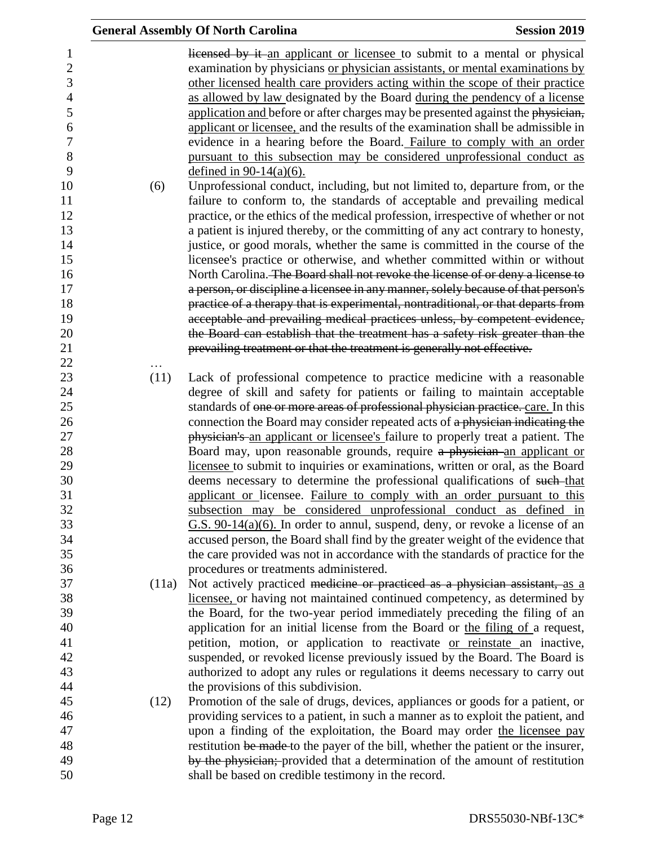|       | <b>General Assembly Of North Carolina</b>                                                                                                                                                                                                                                                                                                                                                                                                                                                        | <b>Session 2019</b> |
|-------|--------------------------------------------------------------------------------------------------------------------------------------------------------------------------------------------------------------------------------------------------------------------------------------------------------------------------------------------------------------------------------------------------------------------------------------------------------------------------------------------------|---------------------|
|       | licensed by it an applicant or licensee to submit to a mental or physical<br>examination by physicians or physician assistants, or mental examinations by<br>other licensed health care providers acting within the scope of their practice<br>as allowed by law designated by the Board during the pendency of a license<br>application and before or after charges may be presented against the physician,<br>applicant or licensee, and the results of the examination shall be admissible in |                     |
|       | evidence in a hearing before the Board. Failure to comply with an order<br>pursuant to this subsection may be considered unprofessional conduct as<br>defined in $90-14(a)(6)$ .                                                                                                                                                                                                                                                                                                                 |                     |
| (6)   | Unprofessional conduct, including, but not limited to, departure from, or the<br>failure to conform to, the standards of acceptable and prevailing medical                                                                                                                                                                                                                                                                                                                                       |                     |
|       | practice, or the ethics of the medical profession, irrespective of whether or not                                                                                                                                                                                                                                                                                                                                                                                                                |                     |
|       | a patient is injured thereby, or the committing of any act contrary to honesty,                                                                                                                                                                                                                                                                                                                                                                                                                  |                     |
|       | justice, or good morals, whether the same is committed in the course of the                                                                                                                                                                                                                                                                                                                                                                                                                      |                     |
|       | licensee's practice or otherwise, and whether committed within or without                                                                                                                                                                                                                                                                                                                                                                                                                        |                     |
|       | North Carolina. The Board shall not revoke the license of or deny a license to                                                                                                                                                                                                                                                                                                                                                                                                                   |                     |
|       | a person, or discipline a licensee in any manner, solely because of that person's                                                                                                                                                                                                                                                                                                                                                                                                                |                     |
|       | practice of a therapy that is experimental, nontraditional, or that departs from                                                                                                                                                                                                                                                                                                                                                                                                                 |                     |
|       | acceptable and prevailing medical practices unless, by competent evidence,                                                                                                                                                                                                                                                                                                                                                                                                                       |                     |
|       | the Board can establish that the treatment has a safety risk greater than the                                                                                                                                                                                                                                                                                                                                                                                                                    |                     |
|       | prevailing treatment or that the treatment is generally not effective.                                                                                                                                                                                                                                                                                                                                                                                                                           |                     |
| (11)  |                                                                                                                                                                                                                                                                                                                                                                                                                                                                                                  |                     |
|       | Lack of professional competence to practice medicine with a reasonable<br>degree of skill and safety for patients or failing to maintain acceptable                                                                                                                                                                                                                                                                                                                                              |                     |
|       | standards of one or more areas of professional physician practice. care. In this                                                                                                                                                                                                                                                                                                                                                                                                                 |                     |
|       | connection the Board may consider repeated acts of a physician indicating the                                                                                                                                                                                                                                                                                                                                                                                                                    |                     |
|       | physician's an applicant or licensee's failure to properly treat a patient. The                                                                                                                                                                                                                                                                                                                                                                                                                  |                     |
|       | Board may, upon reasonable grounds, require a physician an applicant or                                                                                                                                                                                                                                                                                                                                                                                                                          |                     |
|       | licensee to submit to inquiries or examinations, written or oral, as the Board                                                                                                                                                                                                                                                                                                                                                                                                                   |                     |
|       | deems necessary to determine the professional qualifications of such-that                                                                                                                                                                                                                                                                                                                                                                                                                        |                     |
|       | applicant or licensee. Failure to comply with an order pursuant to this                                                                                                                                                                                                                                                                                                                                                                                                                          |                     |
|       | subsection may be considered unprofessional conduct as defined in                                                                                                                                                                                                                                                                                                                                                                                                                                |                     |
|       | $G.S. 90-14(a)(6)$ . In order to annul, suspend, deny, or revoke a license of an                                                                                                                                                                                                                                                                                                                                                                                                                 |                     |
|       | accused person, the Board shall find by the greater weight of the evidence that                                                                                                                                                                                                                                                                                                                                                                                                                  |                     |
|       | the care provided was not in accordance with the standards of practice for the                                                                                                                                                                                                                                                                                                                                                                                                                   |                     |
|       | procedures or treatments administered.                                                                                                                                                                                                                                                                                                                                                                                                                                                           |                     |
| (11a) | Not actively practiced medicine or practiced as a physician assistant, as a                                                                                                                                                                                                                                                                                                                                                                                                                      |                     |
|       | licensee, or having not maintained continued competency, as determined by                                                                                                                                                                                                                                                                                                                                                                                                                        |                     |
|       | the Board, for the two-year period immediately preceding the filing of an                                                                                                                                                                                                                                                                                                                                                                                                                        |                     |
|       | application for an initial license from the Board or the filing of a request,                                                                                                                                                                                                                                                                                                                                                                                                                    |                     |
|       | petition, motion, or application to reactivate or reinstate an inactive,                                                                                                                                                                                                                                                                                                                                                                                                                         |                     |
|       | suspended, or revoked license previously issued by the Board. The Board is                                                                                                                                                                                                                                                                                                                                                                                                                       |                     |
|       | authorized to adopt any rules or regulations it deems necessary to carry out                                                                                                                                                                                                                                                                                                                                                                                                                     |                     |
|       | the provisions of this subdivision.                                                                                                                                                                                                                                                                                                                                                                                                                                                              |                     |
| (12)  | Promotion of the sale of drugs, devices, appliances or goods for a patient, or                                                                                                                                                                                                                                                                                                                                                                                                                   |                     |
|       | providing services to a patient, in such a manner as to exploit the patient, and                                                                                                                                                                                                                                                                                                                                                                                                                 |                     |
|       | upon a finding of the exploitation, the Board may order the licensee pay                                                                                                                                                                                                                                                                                                                                                                                                                         |                     |
|       | restitution be made to the payer of the bill, whether the patient or the insurer,                                                                                                                                                                                                                                                                                                                                                                                                                |                     |
|       | by the physician; provided that a determination of the amount of restitution                                                                                                                                                                                                                                                                                                                                                                                                                     |                     |
|       | shall be based on credible testimony in the record.                                                                                                                                                                                                                                                                                                                                                                                                                                              |                     |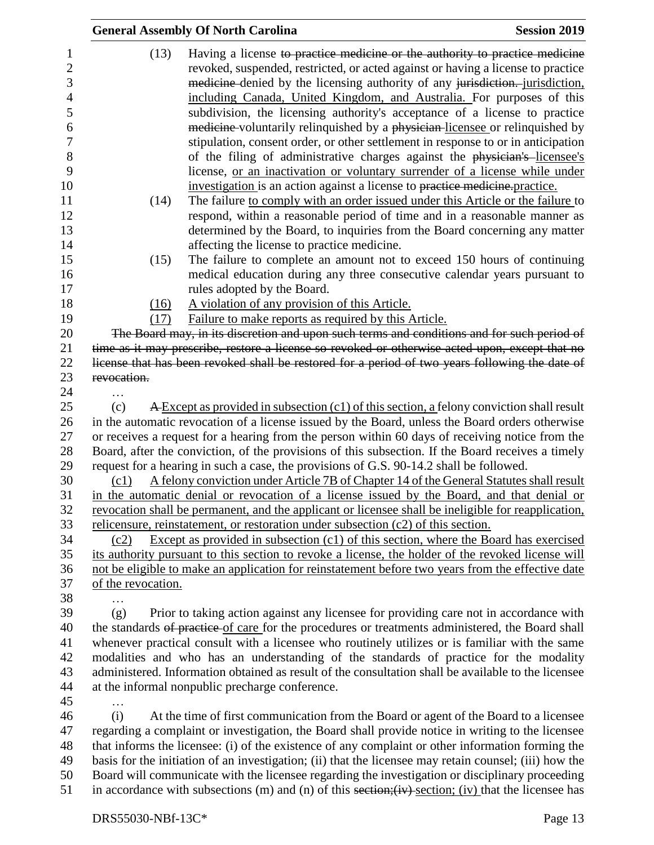|                                                                                                            |                    | <b>General Assembly Of North Carolina</b>                                               | <b>Session 2019</b>                                                                                                                                                                                                                                                                                                                                                                                                                                                                                                                                                                                                                                                                                                                                                                                                                                                                                                                                                                     |
|------------------------------------------------------------------------------------------------------------|--------------------|-----------------------------------------------------------------------------------------|-----------------------------------------------------------------------------------------------------------------------------------------------------------------------------------------------------------------------------------------------------------------------------------------------------------------------------------------------------------------------------------------------------------------------------------------------------------------------------------------------------------------------------------------------------------------------------------------------------------------------------------------------------------------------------------------------------------------------------------------------------------------------------------------------------------------------------------------------------------------------------------------------------------------------------------------------------------------------------------------|
| 1<br>$\overline{c}$<br>3<br>$\overline{4}$<br>5<br>6<br>$\boldsymbol{7}$<br>8<br>9<br>10<br>11<br>12<br>13 | (13)<br>(14)       | investigation is an action against a license to practice medicine practice.             | Having a license to practice medicine or the authority to practice medicine<br>revoked, suspended, restricted, or acted against or having a license to practice<br>medicine-denied by the licensing authority of any jurisdiction. jurisdiction,<br>including Canada, United Kingdom, and Australia. For purposes of this<br>subdivision, the licensing authority's acceptance of a license to practice<br>medicine-voluntarily relinquished by a physician-licensee or relinquished by<br>stipulation, consent order, or other settlement in response to or in anticipation<br>of the filing of administrative charges against the physician's licensee's<br>license, or an inactivation or voluntary surrender of a license while under<br>The failure to comply with an order issued under this Article or the failure to<br>respond, within a reasonable period of time and in a reasonable manner as<br>determined by the Board, to inquiries from the Board concerning any matter |
| 14                                                                                                         |                    | affecting the license to practice medicine.                                             |                                                                                                                                                                                                                                                                                                                                                                                                                                                                                                                                                                                                                                                                                                                                                                                                                                                                                                                                                                                         |
| 15<br>16<br>17<br>18                                                                                       | (15)<br>(16)       | rules adopted by the Board.<br>A violation of any provision of this Article.            | The failure to complete an amount not to exceed 150 hours of continuing<br>medical education during any three consecutive calendar years pursuant to                                                                                                                                                                                                                                                                                                                                                                                                                                                                                                                                                                                                                                                                                                                                                                                                                                    |
| 19                                                                                                         | (17)               | Failure to make reports as required by this Article.                                    |                                                                                                                                                                                                                                                                                                                                                                                                                                                                                                                                                                                                                                                                                                                                                                                                                                                                                                                                                                                         |
| 20                                                                                                         |                    |                                                                                         | The Board may, in its discretion and upon such terms and conditions and for such period of                                                                                                                                                                                                                                                                                                                                                                                                                                                                                                                                                                                                                                                                                                                                                                                                                                                                                              |
| 21                                                                                                         |                    |                                                                                         | time as it may prescribe, restore a license so revoked or otherwise acted upon, except that no                                                                                                                                                                                                                                                                                                                                                                                                                                                                                                                                                                                                                                                                                                                                                                                                                                                                                          |
| 22                                                                                                         |                    |                                                                                         | license that has been revoked shall be restored for a period of two years following the date of                                                                                                                                                                                                                                                                                                                                                                                                                                                                                                                                                                                                                                                                                                                                                                                                                                                                                         |
| 23                                                                                                         | revocation.        |                                                                                         |                                                                                                                                                                                                                                                                                                                                                                                                                                                                                                                                                                                                                                                                                                                                                                                                                                                                                                                                                                                         |
| 24                                                                                                         | .                  |                                                                                         |                                                                                                                                                                                                                                                                                                                                                                                                                                                                                                                                                                                                                                                                                                                                                                                                                                                                                                                                                                                         |
| 25                                                                                                         | (c)                |                                                                                         | A Except as provided in subsection (c1) of this section, a felony conviction shall result                                                                                                                                                                                                                                                                                                                                                                                                                                                                                                                                                                                                                                                                                                                                                                                                                                                                                               |
| 26                                                                                                         |                    |                                                                                         | in the automatic revocation of a license issued by the Board, unless the Board orders otherwise                                                                                                                                                                                                                                                                                                                                                                                                                                                                                                                                                                                                                                                                                                                                                                                                                                                                                         |
| 27                                                                                                         |                    |                                                                                         | or receives a request for a hearing from the person within 60 days of receiving notice from the                                                                                                                                                                                                                                                                                                                                                                                                                                                                                                                                                                                                                                                                                                                                                                                                                                                                                         |
| 28                                                                                                         |                    |                                                                                         | Board, after the conviction, of the provisions of this subsection. If the Board receives a timely                                                                                                                                                                                                                                                                                                                                                                                                                                                                                                                                                                                                                                                                                                                                                                                                                                                                                       |
| 29                                                                                                         |                    | request for a hearing in such a case, the provisions of G.S. 90-14.2 shall be followed. |                                                                                                                                                                                                                                                                                                                                                                                                                                                                                                                                                                                                                                                                                                                                                                                                                                                                                                                                                                                         |
| 30                                                                                                         | (c1)               |                                                                                         | A felony conviction under Article 7B of Chapter 14 of the General Statutes shall result                                                                                                                                                                                                                                                                                                                                                                                                                                                                                                                                                                                                                                                                                                                                                                                                                                                                                                 |
| 31                                                                                                         |                    |                                                                                         | in the automatic denial or revocation of a license issued by the Board, and that denial or                                                                                                                                                                                                                                                                                                                                                                                                                                                                                                                                                                                                                                                                                                                                                                                                                                                                                              |
| 32                                                                                                         |                    |                                                                                         | revocation shall be permanent, and the applicant or licensee shall be ineligible for reapplication,                                                                                                                                                                                                                                                                                                                                                                                                                                                                                                                                                                                                                                                                                                                                                                                                                                                                                     |
| 33                                                                                                         |                    | relicensure, reinstatement, or restoration under subsection $(c2)$ of this section.     |                                                                                                                                                                                                                                                                                                                                                                                                                                                                                                                                                                                                                                                                                                                                                                                                                                                                                                                                                                                         |
| 34                                                                                                         | (c2)               |                                                                                         | Except as provided in subsection $(c1)$ of this section, where the Board has exercised                                                                                                                                                                                                                                                                                                                                                                                                                                                                                                                                                                                                                                                                                                                                                                                                                                                                                                  |
| 35                                                                                                         |                    |                                                                                         | its authority pursuant to this section to revoke a license, the holder of the revoked license will                                                                                                                                                                                                                                                                                                                                                                                                                                                                                                                                                                                                                                                                                                                                                                                                                                                                                      |
| 36                                                                                                         | of the revocation. |                                                                                         | not be eligible to make an application for reinstatement before two years from the effective date                                                                                                                                                                                                                                                                                                                                                                                                                                                                                                                                                                                                                                                                                                                                                                                                                                                                                       |
| 37<br>38                                                                                                   |                    |                                                                                         |                                                                                                                                                                                                                                                                                                                                                                                                                                                                                                                                                                                                                                                                                                                                                                                                                                                                                                                                                                                         |
| 39                                                                                                         | (g)                |                                                                                         | Prior to taking action against any licensee for providing care not in accordance with                                                                                                                                                                                                                                                                                                                                                                                                                                                                                                                                                                                                                                                                                                                                                                                                                                                                                                   |
| 40                                                                                                         |                    |                                                                                         | the standards of practice of care for the procedures or treatments administered, the Board shall                                                                                                                                                                                                                                                                                                                                                                                                                                                                                                                                                                                                                                                                                                                                                                                                                                                                                        |
| 41                                                                                                         |                    |                                                                                         | whenever practical consult with a licensee who routinely utilizes or is familiar with the same                                                                                                                                                                                                                                                                                                                                                                                                                                                                                                                                                                                                                                                                                                                                                                                                                                                                                          |
| 42                                                                                                         |                    |                                                                                         | modalities and who has an understanding of the standards of practice for the modality                                                                                                                                                                                                                                                                                                                                                                                                                                                                                                                                                                                                                                                                                                                                                                                                                                                                                                   |
| 43                                                                                                         |                    |                                                                                         | administered. Information obtained as result of the consultation shall be available to the licensee                                                                                                                                                                                                                                                                                                                                                                                                                                                                                                                                                                                                                                                                                                                                                                                                                                                                                     |
| 44                                                                                                         |                    | at the informal nonpublic precharge conference.                                         |                                                                                                                                                                                                                                                                                                                                                                                                                                                                                                                                                                                                                                                                                                                                                                                                                                                                                                                                                                                         |
| 45                                                                                                         |                    |                                                                                         |                                                                                                                                                                                                                                                                                                                                                                                                                                                                                                                                                                                                                                                                                                                                                                                                                                                                                                                                                                                         |
| 46                                                                                                         | (i)                |                                                                                         | At the time of first communication from the Board or agent of the Board to a licensee                                                                                                                                                                                                                                                                                                                                                                                                                                                                                                                                                                                                                                                                                                                                                                                                                                                                                                   |
| 47                                                                                                         |                    |                                                                                         | regarding a complaint or investigation, the Board shall provide notice in writing to the licensee                                                                                                                                                                                                                                                                                                                                                                                                                                                                                                                                                                                                                                                                                                                                                                                                                                                                                       |
| 48                                                                                                         |                    |                                                                                         | that informs the licensee: (i) of the existence of any complaint or other information forming the                                                                                                                                                                                                                                                                                                                                                                                                                                                                                                                                                                                                                                                                                                                                                                                                                                                                                       |
| 49                                                                                                         |                    |                                                                                         | basis for the initiation of an investigation; (ii) that the licensee may retain counsel; (iii) how the                                                                                                                                                                                                                                                                                                                                                                                                                                                                                                                                                                                                                                                                                                                                                                                                                                                                                  |
| 50                                                                                                         |                    |                                                                                         | Board will communicate with the licensee regarding the investigation or disciplinary proceeding                                                                                                                                                                                                                                                                                                                                                                                                                                                                                                                                                                                                                                                                                                                                                                                                                                                                                         |
| 51                                                                                                         |                    |                                                                                         | in accordance with subsections $(m)$ and $(n)$ of this section; $(iv)$ section; $(iv)$ that the licensee has                                                                                                                                                                                                                                                                                                                                                                                                                                                                                                                                                                                                                                                                                                                                                                                                                                                                            |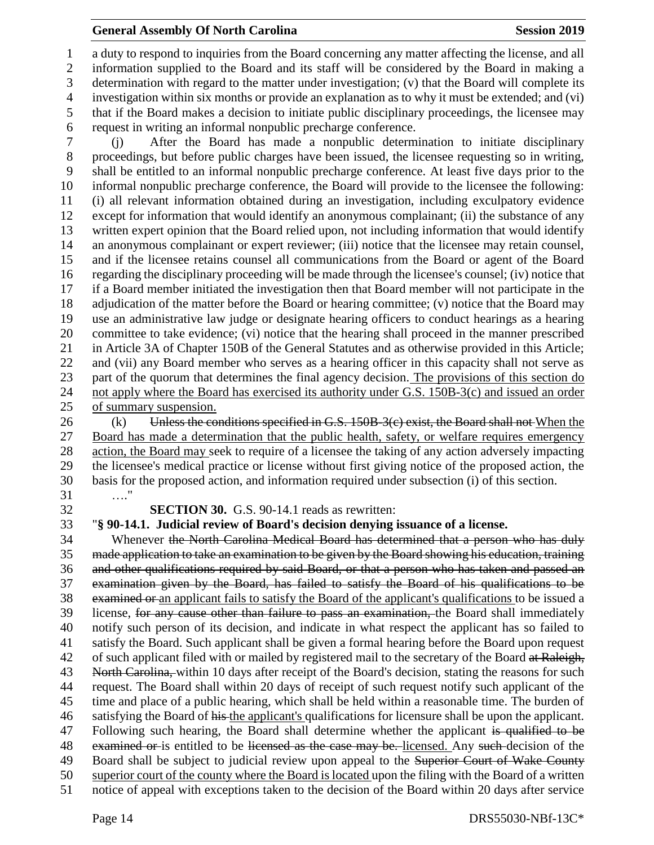#### **General Assembly Of North Carolina Session 2019 Session 2019**

 a duty to respond to inquiries from the Board concerning any matter affecting the license, and all information supplied to the Board and its staff will be considered by the Board in making a determination with regard to the matter under investigation; (v) that the Board will complete its investigation within six months or provide an explanation as to why it must be extended; and (vi) that if the Board makes a decision to initiate public disciplinary proceedings, the licensee may request in writing an informal nonpublic precharge conference.

 (j) After the Board has made a nonpublic determination to initiate disciplinary proceedings, but before public charges have been issued, the licensee requesting so in writing, shall be entitled to an informal nonpublic precharge conference. At least five days prior to the informal nonpublic precharge conference, the Board will provide to the licensee the following: (i) all relevant information obtained during an investigation, including exculpatory evidence except for information that would identify an anonymous complainant; (ii) the substance of any written expert opinion that the Board relied upon, not including information that would identify an anonymous complainant or expert reviewer; (iii) notice that the licensee may retain counsel, and if the licensee retains counsel all communications from the Board or agent of the Board regarding the disciplinary proceeding will be made through the licensee's counsel; (iv) notice that if a Board member initiated the investigation then that Board member will not participate in the adjudication of the matter before the Board or hearing committee; (v) notice that the Board may use an administrative law judge or designate hearing officers to conduct hearings as a hearing committee to take evidence; (vi) notice that the hearing shall proceed in the manner prescribed in Article 3A of Chapter 150B of the General Statutes and as otherwise provided in this Article; and (vii) any Board member who serves as a hearing officer in this capacity shall not serve as part of the quorum that determines the final agency decision. The provisions of this section do 24 not apply where the Board has exercised its authority under G.S. 150B-3(c) and issued an order of summary suspension.

26 (k) Unless the conditions specified in G.S. 150B-3(c) exist, the Board shall not When the Board has made a determination that the public health, safety, or welfare requires emergency action, the Board may seek to require of a licensee the taking of any action adversely impacting the licensee's medical practice or license without first giving notice of the proposed action, the basis for the proposed action, and information required under subsection (i) of this section. …."

**SECTION 30.** G.S. 90-14.1 reads as rewritten:

"**§ 90-14.1. Judicial review of Board's decision denying issuance of a license.**

 Whenever the North Carolina Medical Board has determined that a person who has duly made application to take an examination to be given by the Board showing his education, training and other qualifications required by said Board, or that a person who has taken and passed an examination given by the Board, has failed to satisfy the Board of his qualifications to be examined or an applicant fails to satisfy the Board of the applicant's qualifications to be issued a license, for any cause other than failure to pass an examination, the Board shall immediately notify such person of its decision, and indicate in what respect the applicant has so failed to satisfy the Board. Such applicant shall be given a formal hearing before the Board upon request 42 of such applicant filed with or mailed by registered mail to the secretary of the Board at Raleigh, 43 North Carolina, within 10 days after receipt of the Board's decision, stating the reasons for such request. The Board shall within 20 days of receipt of such request notify such applicant of the time and place of a public hearing, which shall be held within a reasonable time. The burden of 46 satisfying the Board of his the applicant's qualifications for licensure shall be upon the applicant. 47 Following such hearing, the Board shall determine whether the applicant is qualified to be 48 examined or is entitled to be licensed as the case may be. licensed. Any such decision of the 49 Board shall be subject to judicial review upon appeal to the Superior Court of Wake County superior court of the county where the Board is located upon the filing with the Board of a written notice of appeal with exceptions taken to the decision of the Board within 20 days after service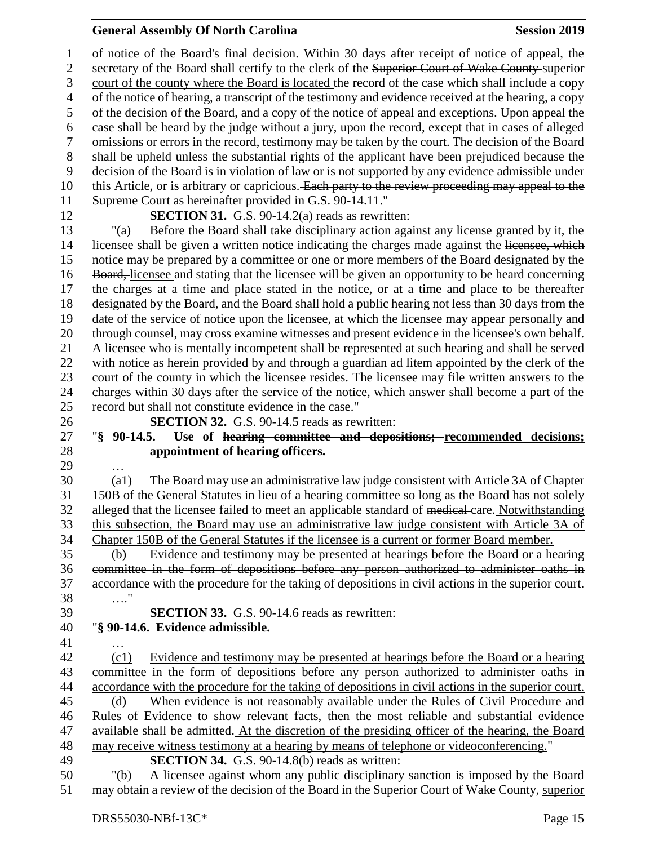#### **General Assembly Of North Carolina Session 2019 Session 2019**

 of notice of the Board's final decision. Within 30 days after receipt of notice of appeal, the 2 secretary of the Board shall certify to the clerk of the Superior Court of Wake County-superior court of the county where the Board is located the record of the case which shall include a copy of the notice of hearing, a transcript of the testimony and evidence received at the hearing, a copy of the decision of the Board, and a copy of the notice of appeal and exceptions. Upon appeal the case shall be heard by the judge without a jury, upon the record, except that in cases of alleged omissions or errors in the record, testimony may be taken by the court. The decision of the Board shall be upheld unless the substantial rights of the applicant have been prejudiced because the decision of the Board is in violation of law or is not supported by any evidence admissible under 10 this Article, or is arbitrary or capricious. Each party to the review proceeding may appeal to the Supreme Court as hereinafter provided in G.S. 90-14.11." **SECTION 31.** G.S. 90-14.2(a) reads as rewritten:

 "(a) Before the Board shall take disciplinary action against any license granted by it, the 14 licensee shall be given a written notice indicating the charges made against the licensee, which 15 notice may be prepared by a committee or one or more members of the Board designated by the 16 Board, licensee and stating that the licensee will be given an opportunity to be heard concerning the charges at a time and place stated in the notice, or at a time and place to be thereafter designated by the Board, and the Board shall hold a public hearing not less than 30 days from the date of the service of notice upon the licensee, at which the licensee may appear personally and through counsel, may cross examine witnesses and present evidence in the licensee's own behalf. A licensee who is mentally incompetent shall be represented at such hearing and shall be served with notice as herein provided by and through a guardian ad litem appointed by the clerk of the court of the county in which the licensee resides. The licensee may file written answers to the charges within 30 days after the service of the notice, which answer shall become a part of the record but shall not constitute evidence in the case."

**SECTION 32.** G.S. 90-14.5 reads as rewritten:

# "**§ 90-14.5. Use of hearing committee and depositions; recommended decisions; appointment of hearing officers.**

…

 (a1) The Board may use an administrative law judge consistent with Article 3A of Chapter 150B of the General Statutes in lieu of a hearing committee so long as the Board has not solely 32 alleged that the licensee failed to meet an applicable standard of medical-care. Notwithstanding this subsection, the Board may use an administrative law judge consistent with Article 3A of Chapter 150B of the General Statutes if the licensee is a current or former Board member.

 (b) Evidence and testimony may be presented at hearings before the Board or a hearing committee in the form of depositions before any person authorized to administer oaths in accordance with the procedure for the taking of depositions in civil actions in the superior court. …." **SECTION 33.** G.S. 90-14.6 reads as rewritten:

# "**§ 90-14.6. Evidence admissible.**

…

 (c1) Evidence and testimony may be presented at hearings before the Board or a hearing committee in the form of depositions before any person authorized to administer oaths in accordance with the procedure for the taking of depositions in civil actions in the superior court. (d) When evidence is not reasonably available under the Rules of Civil Procedure and Rules of Evidence to show relevant facts, then the most reliable and substantial evidence

- available shall be admitted. At the discretion of the presiding officer of the hearing, the Board may receive witness testimony at a hearing by means of telephone or videoconferencing." **SECTION 34.** G.S. 90-14.8(b) reads as written:
	-

 "(b) A licensee against whom any public disciplinary sanction is imposed by the Board 51 may obtain a review of the decision of the Board in the Superior Court of Wake County, superior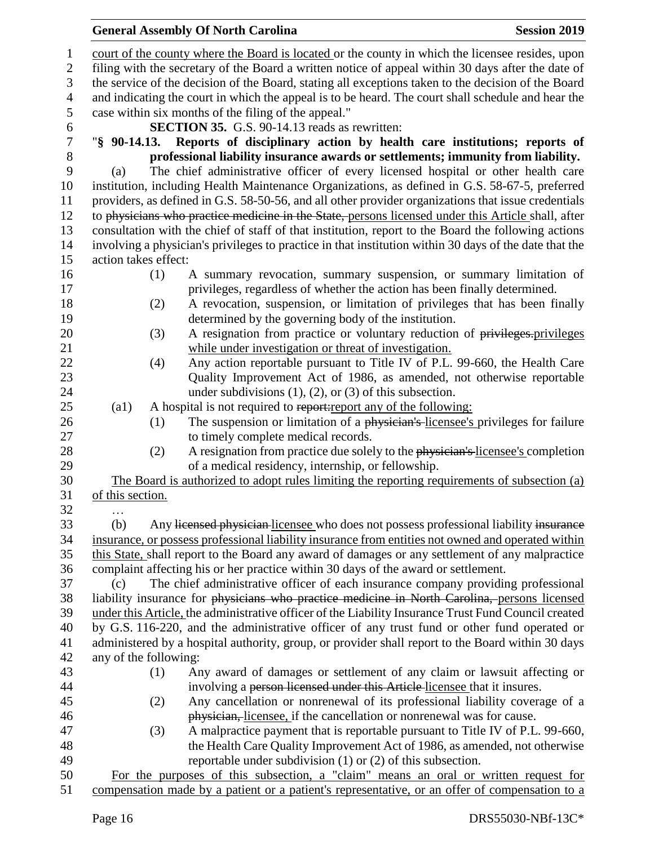#### court of the county where the Board is located or the county in which the licensee resides, upon filing with the secretary of the Board a written notice of appeal within 30 days after the date of the service of the decision of the Board, stating all exceptions taken to the decision of the Board and indicating the court in which the appeal is to be heard. The court shall schedule and hear the case within six months of the filing of the appeal." **SECTION 35.** G.S. 90-14.13 reads as rewritten: "**§ 90-14.13. Reports of disciplinary action by health care institutions; reports of**  8 **professional liability insurance awards or settlements; immunity from liability.**<br>
9 (a) The chief administrative officer of every licensed hospital or other health care (a) The chief administrative officer of every licensed hospital or other health care institution, including Health Maintenance Organizations, as defined in G.S. 58-67-5, preferred providers, as defined in G.S. 58-50-56, and all other provider organizations that issue credentials 12 to physicians who practice medicine in the State, persons licensed under this Article shall, after consultation with the chief of staff of that institution, report to the Board the following actions involving a physician's privileges to practice in that institution within 30 days of the date that the action takes effect: (1) A summary revocation, summary suspension, or summary limitation of privileges, regardless of whether the action has been finally determined. (2) A revocation, suspension, or limitation of privileges that has been finally determined by the governing body of the institution. 20 (3) A resignation from practice or voluntary reduction of privileges.privileges while under investigation or threat of investigation. (4) Any action reportable pursuant to Title IV of P.L. 99-660, the Health Care Quality Improvement Act of 1986, as amended, not otherwise reportable 24 under subdivisions (1), (2), or (3) of this subsection. 25 (a1) A hospital is not required to report: report any of the following: 26 (1) The suspension or limitation of a physician's licensee's privileges for failure to timely complete medical records. 28 (2) A resignation from practice due solely to the physician's licensee's completion of a medical residency, internship, or fellowship. The Board is authorized to adopt rules limiting the reporting requirements of subsection (a) of this section. … (b) Any licensed physician licensee who does not possess professional liability insurance insurance, or possess professional liability insurance from entities not owned and operated within this State, shall report to the Board any award of damages or any settlement of any malpractice complaint affecting his or her practice within 30 days of the award or settlement. (c) The chief administrative officer of each insurance company providing professional liability insurance for physicians who practice medicine in North Carolina, persons licensed under this Article, the administrative officer of the Liability Insurance Trust Fund Council created by G.S. 116-220, and the administrative officer of any trust fund or other fund operated or administered by a hospital authority, group, or provider shall report to the Board within 30 days any of the following: (1) Any award of damages or settlement of any claim or lawsuit affecting or involving a person licensed under this Article licensee that it insures. (2) Any cancellation or nonrenewal of its professional liability coverage of a physician, licensee, if the cancellation or nonrenewal was for cause. (3) A malpractice payment that is reportable pursuant to Title IV of P.L. 99-660, the Health Care Quality Improvement Act of 1986, as amended, not otherwise reportable under subdivision (1) or (2) of this subsection. For the purposes of this subsection, a "claim" means an oral or written request for compensation made by a patient or a patient's representative, or an offer of compensation to a

**General Assembly Of North Carolina Session 2019 Session 2019**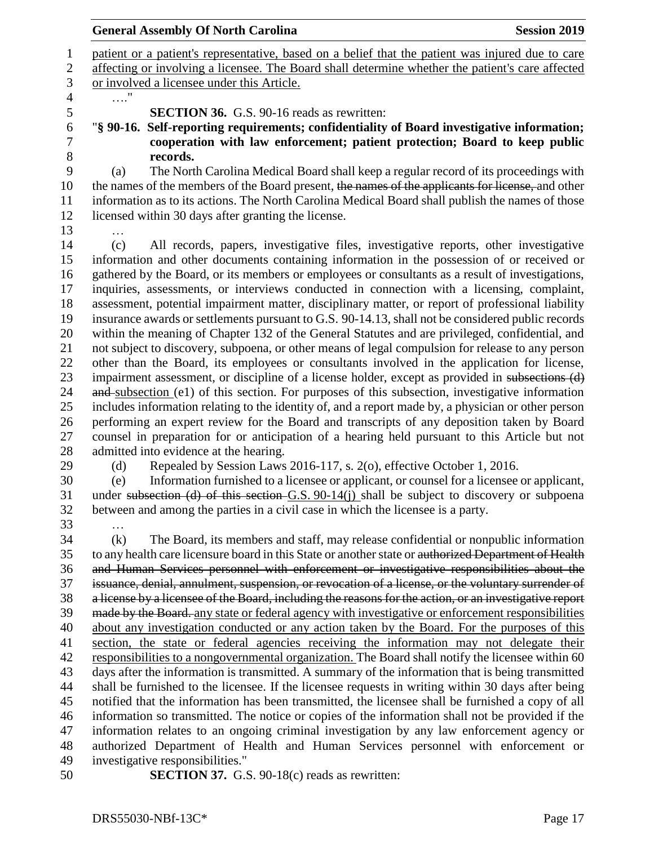|                   | <b>General Assembly Of North Carolina</b>                                                                                                                                                                                                                                                                                                                                                                                                                                                                                                                                                                                                                                                                                                                                                                                                                                                                                                                                                                                                                                                                                                                                                                                                                                                                                                                                                                                                                                                                                                                                                                                         | <b>Session 2019</b> |
|-------------------|-----------------------------------------------------------------------------------------------------------------------------------------------------------------------------------------------------------------------------------------------------------------------------------------------------------------------------------------------------------------------------------------------------------------------------------------------------------------------------------------------------------------------------------------------------------------------------------------------------------------------------------------------------------------------------------------------------------------------------------------------------------------------------------------------------------------------------------------------------------------------------------------------------------------------------------------------------------------------------------------------------------------------------------------------------------------------------------------------------------------------------------------------------------------------------------------------------------------------------------------------------------------------------------------------------------------------------------------------------------------------------------------------------------------------------------------------------------------------------------------------------------------------------------------------------------------------------------------------------------------------------------|---------------------|
|                   | patient or a patient's representative, based on a belief that the patient was injured due to care<br>affecting or involving a licensee. The Board shall determine whether the patient's care affected<br>or involved a licensee under this Article.                                                                                                                                                                                                                                                                                                                                                                                                                                                                                                                                                                                                                                                                                                                                                                                                                                                                                                                                                                                                                                                                                                                                                                                                                                                                                                                                                                               |                     |
|                   |                                                                                                                                                                                                                                                                                                                                                                                                                                                                                                                                                                                                                                                                                                                                                                                                                                                                                                                                                                                                                                                                                                                                                                                                                                                                                                                                                                                                                                                                                                                                                                                                                                   |                     |
|                   | <b>SECTION 36.</b> G.S. 90-16 reads as rewritten:<br>"§ 90-16. Self-reporting requirements; confidentiality of Board investigative information;<br>cooperation with law enforcement; patient protection; Board to keep public<br>records.                                                                                                                                                                                                                                                                                                                                                                                                                                                                                                                                                                                                                                                                                                                                                                                                                                                                                                                                                                                                                                                                                                                                                                                                                                                                                                                                                                                         |                     |
| (a)               | The North Carolina Medical Board shall keep a regular record of its proceedings with<br>the names of the members of the Board present, the names of the applicants for license, and other<br>information as to its actions. The North Carolina Medical Board shall publish the names of those<br>licensed within 30 days after granting the license.                                                                                                                                                                                                                                                                                                                                                                                                                                                                                                                                                                                                                                                                                                                                                                                                                                                                                                                                                                                                                                                                                                                                                                                                                                                                              |                     |
| (c)<br>(d)<br>(e) | All records, papers, investigative files, investigative reports, other investigative<br>information and other documents containing information in the possession of or received or<br>gathered by the Board, or its members or employees or consultants as a result of investigations,<br>inquiries, assessments, or interviews conducted in connection with a licensing, complaint,<br>assessment, potential impairment matter, disciplinary matter, or report of professional liability<br>insurance awards or settlements pursuant to G.S. 90-14.13, shall not be considered public records<br>within the meaning of Chapter 132 of the General Statutes and are privileged, confidential, and<br>not subject to discovery, subpoena, or other means of legal compulsion for release to any person<br>other than the Board, its employees or consultants involved in the application for license,<br>impairment assessment, or discipline of a license holder, except as provided in subsections (d)<br>and subsection (e1) of this section. For purposes of this subsection, investigative information<br>includes information relating to the identity of, and a report made by, a physician or other person<br>performing an expert review for the Board and transcripts of any deposition taken by Board<br>counsel in preparation for or anticipation of a hearing held pursuant to this Article but not<br>admitted into evidence at the hearing.<br>Repealed by Session Laws 2016-117, s. 2(o), effective October 1, 2016.<br>Information furnished to a licensee or applicant, or counsel for a licensee or applicant, |                     |
| (k)               | under subsection (d) of this section $G.S. 90-14(j)$ shall be subject to discovery or subpoena<br>between and among the parties in a civil case in which the licensee is a party.<br>The Board, its members and staff, may release confidential or nonpublic information                                                                                                                                                                                                                                                                                                                                                                                                                                                                                                                                                                                                                                                                                                                                                                                                                                                                                                                                                                                                                                                                                                                                                                                                                                                                                                                                                          |                     |
|                   | to any health care licensure board in this State or another state or authorized Department of Health<br>and Human Services personnel with enforcement or investigative responsibilities about the<br>issuance, denial, annulment, suspension, or revocation of a license, or the voluntary surrender of                                                                                                                                                                                                                                                                                                                                                                                                                                                                                                                                                                                                                                                                                                                                                                                                                                                                                                                                                                                                                                                                                                                                                                                                                                                                                                                           |                     |
|                   | a license by a licensee of the Board, including the reasons for the action, or an investigative report                                                                                                                                                                                                                                                                                                                                                                                                                                                                                                                                                                                                                                                                                                                                                                                                                                                                                                                                                                                                                                                                                                                                                                                                                                                                                                                                                                                                                                                                                                                            |                     |
|                   | made by the Board. any state or federal agency with investigative or enforcement responsibilities                                                                                                                                                                                                                                                                                                                                                                                                                                                                                                                                                                                                                                                                                                                                                                                                                                                                                                                                                                                                                                                                                                                                                                                                                                                                                                                                                                                                                                                                                                                                 |                     |
|                   | about any investigation conducted or any action taken by the Board. For the purposes of this                                                                                                                                                                                                                                                                                                                                                                                                                                                                                                                                                                                                                                                                                                                                                                                                                                                                                                                                                                                                                                                                                                                                                                                                                                                                                                                                                                                                                                                                                                                                      |                     |
|                   | section, the state or federal agencies receiving the information may not delegate their                                                                                                                                                                                                                                                                                                                                                                                                                                                                                                                                                                                                                                                                                                                                                                                                                                                                                                                                                                                                                                                                                                                                                                                                                                                                                                                                                                                                                                                                                                                                           |                     |
|                   | responsibilities to a nongovernmental organization. The Board shall notify the licensee within 60                                                                                                                                                                                                                                                                                                                                                                                                                                                                                                                                                                                                                                                                                                                                                                                                                                                                                                                                                                                                                                                                                                                                                                                                                                                                                                                                                                                                                                                                                                                                 |                     |
|                   | days after the information is transmitted. A summary of the information that is being transmitted                                                                                                                                                                                                                                                                                                                                                                                                                                                                                                                                                                                                                                                                                                                                                                                                                                                                                                                                                                                                                                                                                                                                                                                                                                                                                                                                                                                                                                                                                                                                 |                     |
|                   | shall be furnished to the licensee. If the licensee requests in writing within 30 days after being                                                                                                                                                                                                                                                                                                                                                                                                                                                                                                                                                                                                                                                                                                                                                                                                                                                                                                                                                                                                                                                                                                                                                                                                                                                                                                                                                                                                                                                                                                                                |                     |

 notified that the information has been transmitted, the licensee shall be furnished a copy of all information so transmitted. The notice or copies of the information shall not be provided if the information relates to an ongoing criminal investigation by any law enforcement agency or authorized Department of Health and Human Services personnel with enforcement or investigative responsibilities."

**SECTION 37.** G.S. 90-18(c) reads as rewritten: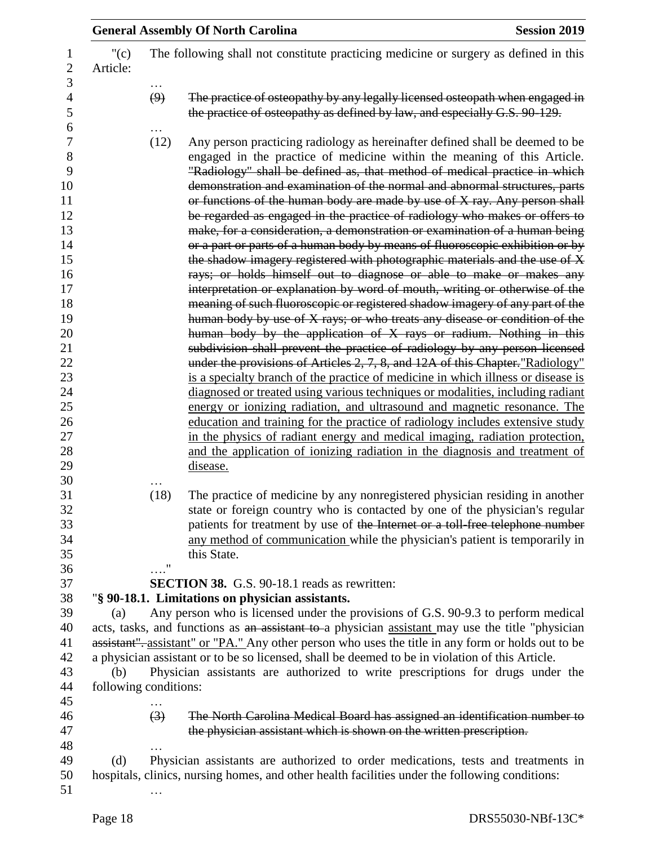|                       |                  | <b>General Assembly Of North Carolina</b>                                                                                                                                                                                                                                                                                                                                                                                                                                                                                                                                                                                                                                                                                                                                                                                                                                                                                                                                                                                                                                                                                                                                                                                                                                                                                                                                                                                                                                                                                                                                                                                                                                                                                                                                           | <b>Session 2019</b> |
|-----------------------|------------------|-------------------------------------------------------------------------------------------------------------------------------------------------------------------------------------------------------------------------------------------------------------------------------------------------------------------------------------------------------------------------------------------------------------------------------------------------------------------------------------------------------------------------------------------------------------------------------------------------------------------------------------------------------------------------------------------------------------------------------------------------------------------------------------------------------------------------------------------------------------------------------------------------------------------------------------------------------------------------------------------------------------------------------------------------------------------------------------------------------------------------------------------------------------------------------------------------------------------------------------------------------------------------------------------------------------------------------------------------------------------------------------------------------------------------------------------------------------------------------------------------------------------------------------------------------------------------------------------------------------------------------------------------------------------------------------------------------------------------------------------------------------------------------------|---------------------|
| " $(c)$<br>Article:   |                  | The following shall not constitute practicing medicine or surgery as defined in this                                                                                                                                                                                                                                                                                                                                                                                                                                                                                                                                                                                                                                                                                                                                                                                                                                                                                                                                                                                                                                                                                                                                                                                                                                                                                                                                                                                                                                                                                                                                                                                                                                                                                                |                     |
|                       | $\cdots$<br>(9)  | The practice of osteopathy by any legally licensed osteopath when engaged in<br>the practice of osteopathy as defined by law, and especially G.S. 90-129.                                                                                                                                                                                                                                                                                                                                                                                                                                                                                                                                                                                                                                                                                                                                                                                                                                                                                                                                                                                                                                                                                                                                                                                                                                                                                                                                                                                                                                                                                                                                                                                                                           |                     |
|                       | (12)             | Any person practicing radiology as hereinafter defined shall be deemed to be<br>engaged in the practice of medicine within the meaning of this Article.<br>"Radiology" shall be defined as, that method of medical practice in which<br>demonstration and examination of the normal and abnormal structures, parts<br>or functions of the human body are made by use of X ray. Any person shall<br>be regarded as engaged in the practice of radiology who makes or offers to<br>make, for a consideration, a demonstration or examination of a human being<br>or a part or parts of a human body by means of fluoroscopic exhibition or by<br>the shadow imagery registered with photographic materials and the use of X<br>rays; or holds himself out to diagnose or able to make or makes any<br>interpretation or explanation by word of mouth, writing or otherwise of the<br>meaning of such fluoroscopic or registered shadow imagery of any part of the<br>human body by use of X rays; or who treats any disease or condition of the<br>human body by the application of X rays or radium. Nothing in this<br>subdivision shall prevent the practice of radiology by any person licensed<br>under the provisions of Articles 2, 7, 8, and 12A of this Chapter."Radiology"<br>is a specialty branch of the practice of medicine in which illness or disease is<br>diagnosed or treated using various techniques or modalities, including radiant<br>energy or ionizing radiation, and ultrasound and magnetic resonance. The<br>education and training for the practice of radiology includes extensive study<br>in the physics of radiant energy and medical imaging, radiation protection,<br>and the application of ionizing radiation in the diagnosis and treatment of |                     |
|                       |                  | disease.                                                                                                                                                                                                                                                                                                                                                                                                                                                                                                                                                                                                                                                                                                                                                                                                                                                                                                                                                                                                                                                                                                                                                                                                                                                                                                                                                                                                                                                                                                                                                                                                                                                                                                                                                                            |                     |
|                       | (18)             | The practice of medicine by any nonregistered physician residing in another<br>state or foreign country who is contacted by one of the physician's regular<br>patients for treatment by use of the Internet or a toll free telephone number<br>any method of communication while the physician's patient is temporarily in<br>this State.                                                                                                                                                                                                                                                                                                                                                                                                                                                                                                                                                                                                                                                                                                                                                                                                                                                                                                                                                                                                                                                                                                                                                                                                                                                                                                                                                                                                                                           |                     |
|                       | $\ldots$ "       | <b>SECTION 38.</b> G.S. 90-18.1 reads as rewritten:                                                                                                                                                                                                                                                                                                                                                                                                                                                                                                                                                                                                                                                                                                                                                                                                                                                                                                                                                                                                                                                                                                                                                                                                                                                                                                                                                                                                                                                                                                                                                                                                                                                                                                                                 |                     |
|                       |                  | "§ 90-18.1. Limitations on physician assistants.                                                                                                                                                                                                                                                                                                                                                                                                                                                                                                                                                                                                                                                                                                                                                                                                                                                                                                                                                                                                                                                                                                                                                                                                                                                                                                                                                                                                                                                                                                                                                                                                                                                                                                                                    |                     |
| (a)                   |                  | Any person who is licensed under the provisions of G.S. 90-9.3 to perform medical                                                                                                                                                                                                                                                                                                                                                                                                                                                                                                                                                                                                                                                                                                                                                                                                                                                                                                                                                                                                                                                                                                                                                                                                                                                                                                                                                                                                                                                                                                                                                                                                                                                                                                   |                     |
|                       |                  | acts, tasks, and functions as an assistant to a physician assistant may use the title "physician"                                                                                                                                                                                                                                                                                                                                                                                                                                                                                                                                                                                                                                                                                                                                                                                                                                                                                                                                                                                                                                                                                                                                                                                                                                                                                                                                                                                                                                                                                                                                                                                                                                                                                   |                     |
|                       |                  | assistant", assistant" or "PA." Any other person who uses the title in any form or holds out to be                                                                                                                                                                                                                                                                                                                                                                                                                                                                                                                                                                                                                                                                                                                                                                                                                                                                                                                                                                                                                                                                                                                                                                                                                                                                                                                                                                                                                                                                                                                                                                                                                                                                                  |                     |
|                       |                  | a physician assistant or to be so licensed, shall be deemed to be in violation of this Article.                                                                                                                                                                                                                                                                                                                                                                                                                                                                                                                                                                                                                                                                                                                                                                                                                                                                                                                                                                                                                                                                                                                                                                                                                                                                                                                                                                                                                                                                                                                                                                                                                                                                                     |                     |
| (b)                   |                  | Physician assistants are authorized to write prescriptions for drugs under the                                                                                                                                                                                                                                                                                                                                                                                                                                                                                                                                                                                                                                                                                                                                                                                                                                                                                                                                                                                                                                                                                                                                                                                                                                                                                                                                                                                                                                                                                                                                                                                                                                                                                                      |                     |
| following conditions: |                  |                                                                                                                                                                                                                                                                                                                                                                                                                                                                                                                                                                                                                                                                                                                                                                                                                                                                                                                                                                                                                                                                                                                                                                                                                                                                                                                                                                                                                                                                                                                                                                                                                                                                                                                                                                                     |                     |
|                       |                  |                                                                                                                                                                                                                                                                                                                                                                                                                                                                                                                                                                                                                                                                                                                                                                                                                                                                                                                                                                                                                                                                                                                                                                                                                                                                                                                                                                                                                                                                                                                                                                                                                                                                                                                                                                                     |                     |
|                       | $\left(3\right)$ | The North Carolina Medical Board has assigned an identification number to<br>the physician assistant which is shown on the written prescription.                                                                                                                                                                                                                                                                                                                                                                                                                                                                                                                                                                                                                                                                                                                                                                                                                                                                                                                                                                                                                                                                                                                                                                                                                                                                                                                                                                                                                                                                                                                                                                                                                                    |                     |
|                       |                  |                                                                                                                                                                                                                                                                                                                                                                                                                                                                                                                                                                                                                                                                                                                                                                                                                                                                                                                                                                                                                                                                                                                                                                                                                                                                                                                                                                                                                                                                                                                                                                                                                                                                                                                                                                                     |                     |
| (d)                   |                  | Physician assistants are authorized to order medications, tests and treatments in<br>hospitals, clinics, nursing homes, and other health facilities under the following conditions:                                                                                                                                                                                                                                                                                                                                                                                                                                                                                                                                                                                                                                                                                                                                                                                                                                                                                                                                                                                                                                                                                                                                                                                                                                                                                                                                                                                                                                                                                                                                                                                                 |                     |
|                       |                  |                                                                                                                                                                                                                                                                                                                                                                                                                                                                                                                                                                                                                                                                                                                                                                                                                                                                                                                                                                                                                                                                                                                                                                                                                                                                                                                                                                                                                                                                                                                                                                                                                                                                                                                                                                                     |                     |
|                       |                  |                                                                                                                                                                                                                                                                                                                                                                                                                                                                                                                                                                                                                                                                                                                                                                                                                                                                                                                                                                                                                                                                                                                                                                                                                                                                                                                                                                                                                                                                                                                                                                                                                                                                                                                                                                                     |                     |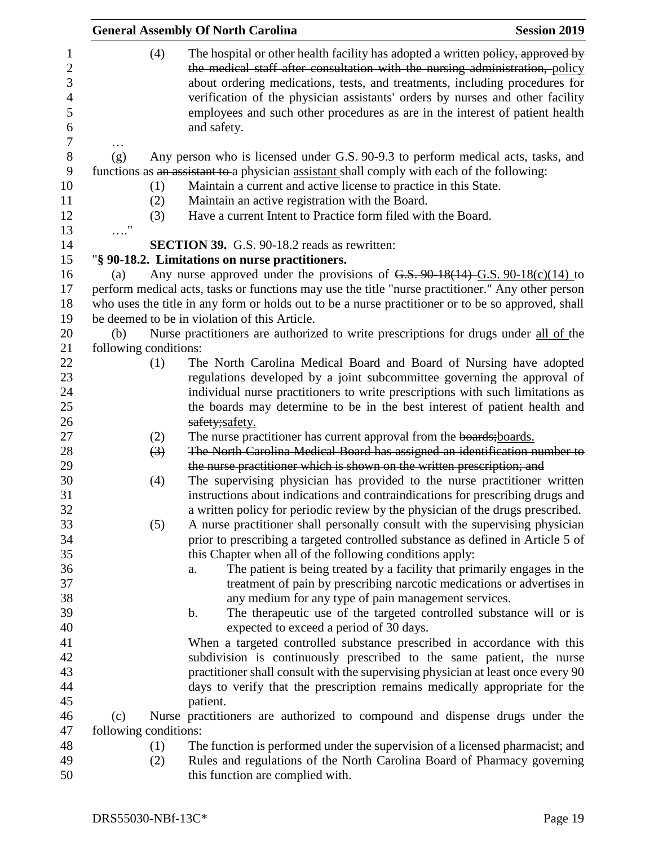|                       | <b>General Assembly Of North Carolina</b>                                                                                                                                                                                                                                                                                                                                                                                      | <b>Session 2019</b> |
|-----------------------|--------------------------------------------------------------------------------------------------------------------------------------------------------------------------------------------------------------------------------------------------------------------------------------------------------------------------------------------------------------------------------------------------------------------------------|---------------------|
| (4)                   | The hospital or other health facility has adopted a written policy, approved by<br>the medical staff after consultation with the nursing administration, policy<br>about ordering medications, tests, and treatments, including procedures for<br>verification of the physician assistants' orders by nurses and other facility<br>employees and such other procedures as are in the interest of patient health<br>and safety. |                     |
|                       |                                                                                                                                                                                                                                                                                                                                                                                                                                |                     |
| (g)                   | Any person who is licensed under G.S. 90-9.3 to perform medical acts, tasks, and<br>functions as an assistant to a physician assistant shall comply with each of the following:                                                                                                                                                                                                                                                |                     |
| (1)                   | Maintain a current and active license to practice in this State.                                                                                                                                                                                                                                                                                                                                                               |                     |
| (2)                   | Maintain an active registration with the Board.                                                                                                                                                                                                                                                                                                                                                                                |                     |
| (3)                   | Have a current Intent to Practice form filed with the Board.                                                                                                                                                                                                                                                                                                                                                                   |                     |
| $\ldots$ "            |                                                                                                                                                                                                                                                                                                                                                                                                                                |                     |
|                       | <b>SECTION 39.</b> G.S. 90-18.2 reads as rewritten:                                                                                                                                                                                                                                                                                                                                                                            |                     |
|                       | "§ 90-18.2. Limitations on nurse practitioners.                                                                                                                                                                                                                                                                                                                                                                                |                     |
| (a)                   | Any nurse approved under the provisions of $G.S. 90-18(14)$ G.S. 90-18(c)(14) to                                                                                                                                                                                                                                                                                                                                               |                     |
|                       | perform medical acts, tasks or functions may use the title "nurse practitioner." Any other person                                                                                                                                                                                                                                                                                                                              |                     |
|                       | who uses the title in any form or holds out to be a nurse practitioner or to be so approved, shall                                                                                                                                                                                                                                                                                                                             |                     |
|                       | be deemed to be in violation of this Article.                                                                                                                                                                                                                                                                                                                                                                                  |                     |
| (b)                   | Nurse practitioners are authorized to write prescriptions for drugs under all of the                                                                                                                                                                                                                                                                                                                                           |                     |
| following conditions: |                                                                                                                                                                                                                                                                                                                                                                                                                                |                     |
| (1)                   | The North Carolina Medical Board and Board of Nursing have adopted<br>regulations developed by a joint subcommittee governing the approval of<br>individual nurse practitioners to write prescriptions with such limitations as<br>the boards may determine to be in the best interest of patient health and<br>safety;safety.                                                                                                 |                     |
| (2)                   | The nurse practitioner has current approval from the boards; boards.                                                                                                                                                                                                                                                                                                                                                           |                     |
| (3)                   | The North Carolina Medical Board has assigned an identification number to<br>the nurse practitioner which is shown on the written prescription; and                                                                                                                                                                                                                                                                            |                     |
| (4)                   | The supervising physician has provided to the nurse practitioner written<br>instructions about indications and contraindications for prescribing drugs and<br>a written policy for periodic review by the physician of the drugs prescribed.                                                                                                                                                                                   |                     |
| (5)                   | A nurse practitioner shall personally consult with the supervising physician<br>prior to prescribing a targeted controlled substance as defined in Article 5 of<br>this Chapter when all of the following conditions apply:                                                                                                                                                                                                    |                     |
|                       | The patient is being treated by a facility that primarily engages in the<br>a.<br>treatment of pain by prescribing narcotic medications or advertises in<br>any medium for any type of pain management services.                                                                                                                                                                                                               |                     |
|                       | The therapeutic use of the targeted controlled substance will or is<br>$\mathbf b$ .<br>expected to exceed a period of 30 days.                                                                                                                                                                                                                                                                                                |                     |
|                       | When a targeted controlled substance prescribed in accordance with this<br>subdivision is continuously prescribed to the same patient, the nurse<br>practitioner shall consult with the supervising physician at least once every 90<br>days to verify that the prescription remains medically appropriate for the                                                                                                             |                     |
|                       | patient.                                                                                                                                                                                                                                                                                                                                                                                                                       |                     |
| (c)                   | Nurse practitioners are authorized to compound and dispense drugs under the                                                                                                                                                                                                                                                                                                                                                    |                     |
| following conditions: |                                                                                                                                                                                                                                                                                                                                                                                                                                |                     |
| (1)                   | The function is performed under the supervision of a licensed pharmacist; and                                                                                                                                                                                                                                                                                                                                                  |                     |
| (2)                   | Rules and regulations of the North Carolina Board of Pharmacy governing<br>this function are complied with.                                                                                                                                                                                                                                                                                                                    |                     |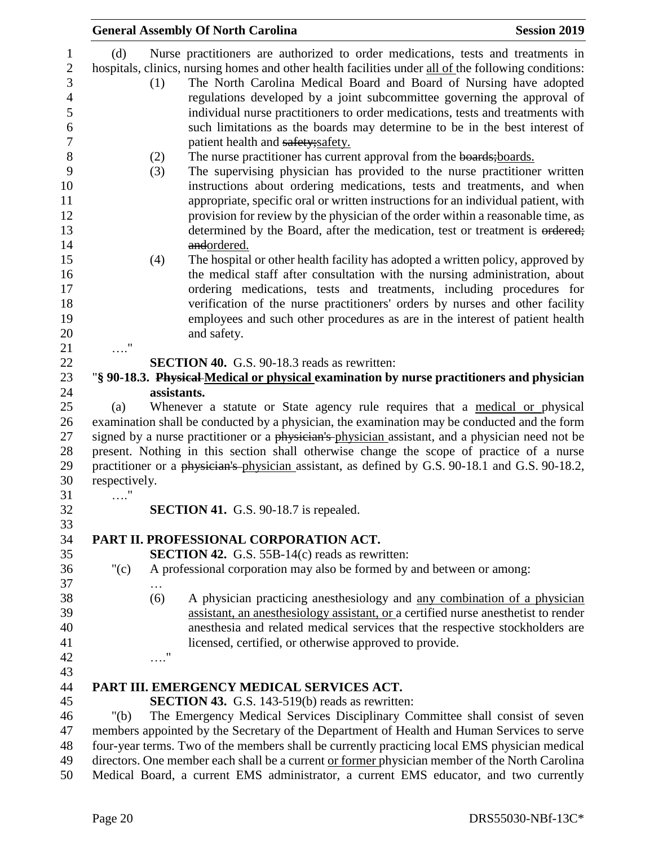|               |             | <b>General Assembly Of North Carolina</b>                                                                                                                                                                                                                                                                                                 | <b>Session 2019</b> |
|---------------|-------------|-------------------------------------------------------------------------------------------------------------------------------------------------------------------------------------------------------------------------------------------------------------------------------------------------------------------------------------------|---------------------|
| (d)           | (1)         | Nurse practitioners are authorized to order medications, tests and treatments in<br>hospitals, clinics, nursing homes and other health facilities under all of the following conditions:<br>The North Carolina Medical Board and Board of Nursing have adopted<br>regulations developed by a joint subcommittee governing the approval of |                     |
|               |             | individual nurse practitioners to order medications, tests and treatments with<br>such limitations as the boards may determine to be in the best interest of<br>patient health and safety; safety.                                                                                                                                        |                     |
|               | (2)<br>(3)  | The nurse practitioner has current approval from the boards; boards.<br>The supervising physician has provided to the nurse practitioner written                                                                                                                                                                                          |                     |
|               |             | instructions about ordering medications, tests and treatments, and when<br>appropriate, specific oral or written instructions for an individual patient, with<br>provision for review by the physician of the order within a reasonable time, as<br>determined by the Board, after the medication, test or treatment is ordered;          |                     |
|               | (4)         | andordered.<br>The hospital or other health facility has adopted a written policy, approved by                                                                                                                                                                                                                                            |                     |
|               |             | the medical staff after consultation with the nursing administration, about<br>ordering medications, tests and treatments, including procedures for                                                                                                                                                                                       |                     |
|               |             | verification of the nurse practitioners' orders by nurses and other facility<br>employees and such other procedures as are in the interest of patient health                                                                                                                                                                              |                     |
|               |             | and safety.                                                                                                                                                                                                                                                                                                                               |                     |
|               |             | <b>SECTION 40.</b> G.S. 90-18.3 reads as rewritten:                                                                                                                                                                                                                                                                                       |                     |
|               |             | "§ 90-18.3. Physical Medical or physical examination by nurse practitioners and physician                                                                                                                                                                                                                                                 |                     |
|               | assistants. |                                                                                                                                                                                                                                                                                                                                           |                     |
| (a)           |             | Whenever a statute or State agency rule requires that a medical or physical                                                                                                                                                                                                                                                               |                     |
|               |             | examination shall be conducted by a physician, the examination may be conducted and the form                                                                                                                                                                                                                                              |                     |
|               |             | signed by a nurse practitioner or a physician's physician assistant, and a physician need not be                                                                                                                                                                                                                                          |                     |
|               |             | present. Nothing in this section shall otherwise change the scope of practice of a nurse<br>practitioner or a physician's physician assistant, as defined by G.S. 90-18.1 and G.S. 90-18.2,                                                                                                                                               |                     |
| respectively. |             |                                                                                                                                                                                                                                                                                                                                           |                     |
| .             |             |                                                                                                                                                                                                                                                                                                                                           |                     |
|               |             | <b>SECTION 41.</b> G.S. 90-18.7 is repealed.                                                                                                                                                                                                                                                                                              |                     |
|               |             | PART II. PROFESSIONAL CORPORATION ACT.                                                                                                                                                                                                                                                                                                    |                     |
|               |             | <b>SECTION 42.</b> G.S. 55B-14(c) reads as rewritten:                                                                                                                                                                                                                                                                                     |                     |
| " $(c)$       |             | A professional corporation may also be formed by and between or among:                                                                                                                                                                                                                                                                    |                     |
|               | .           |                                                                                                                                                                                                                                                                                                                                           |                     |
|               | (6)         | A physician practicing anesthesiology and any combination of a physician                                                                                                                                                                                                                                                                  |                     |
|               |             | assistant, an anesthesiology assistant, or a certified nurse anesthetist to render<br>anesthesia and related medical services that the respective stockholders are                                                                                                                                                                        |                     |
|               |             | licensed, certified, or otherwise approved to provide.                                                                                                                                                                                                                                                                                    |                     |
|               | $\ldots$ "  |                                                                                                                                                                                                                                                                                                                                           |                     |
|               |             |                                                                                                                                                                                                                                                                                                                                           |                     |
|               |             | PART III. EMERGENCY MEDICAL SERVICES ACT.                                                                                                                                                                                                                                                                                                 |                     |
|               |             | <b>SECTION 43.</b> G.S. 143-519(b) reads as rewritten:                                                                                                                                                                                                                                                                                    |                     |
| " $(b)$       |             | The Emergency Medical Services Disciplinary Committee shall consist of seven                                                                                                                                                                                                                                                              |                     |
|               |             | members appointed by the Secretary of the Department of Health and Human Services to serve                                                                                                                                                                                                                                                |                     |
|               |             | four-year terms. Two of the members shall be currently practicing local EMS physician medical                                                                                                                                                                                                                                             |                     |
|               |             | directors. One member each shall be a current or former physician member of the North Carolina                                                                                                                                                                                                                                            |                     |
|               |             | Medical Board, a current EMS administrator, a current EMS educator, and two currently                                                                                                                                                                                                                                                     |                     |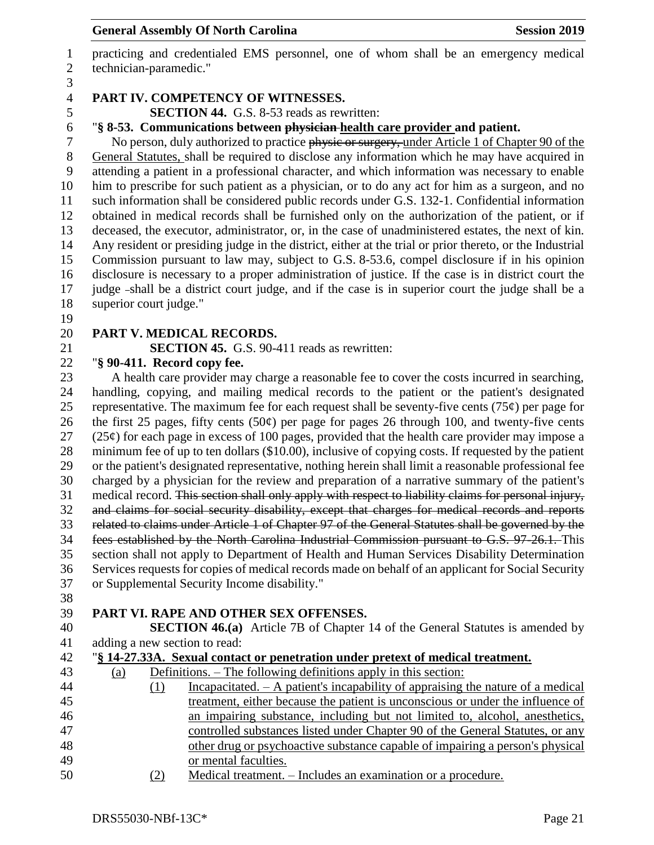practicing and credentialed EMS personnel, one of whom shall be an emergency medical technician-paramedic."

#### **PART IV. COMPETENCY OF WITNESSES.**

**SECTION 44.** G.S. 8-53 reads as rewritten:

"**§ 8-53. Communications between physician health care provider and patient.**

7 No person, duly authorized to practice physic or surgery, under Article 1 of Chapter 90 of the General Statutes, shall be required to disclose any information which he may have acquired in attending a patient in a professional character, and which information was necessary to enable him to prescribe for such patient as a physician, or to do any act for him as a surgeon, and no such information shall be considered public records under G.S. 132-1. Confidential information obtained in medical records shall be furnished only on the authorization of the patient, or if deceased, the executor, administrator, or, in the case of unadministered estates, the next of kin. Any resident or presiding judge in the district, either at the trial or prior thereto, or the Industrial Commission pursuant to law may, subject to G.S. 8-53.6, compel disclosure if in his opinion disclosure is necessary to a proper administration of justice. If the case is in district court the judge shall be a district court judge, and if the case is in superior court the judge shall be a superior court judge."

### **PART V. MEDICAL RECORDS.**

**SECTION 45.** G.S. 90-411 reads as rewritten:

### "**§ 90-411. Record copy fee.**

 A health care provider may charge a reasonable fee to cover the costs incurred in searching, handling, copying, and mailing medical records to the patient or the patient's designated 25 representative. The maximum fee for each request shall be seventy-five cents (75 $\varphi$ ) per page for 26 the first 25 pages, fifty cents (50 $\varphi$ ) per page for pages 26 through 100, and twenty-five cents (25¢) for each page in excess of 100 pages, provided that the health care provider may impose a minimum fee of up to ten dollars (\$10.00), inclusive of copying costs. If requested by the patient or the patient's designated representative, nothing herein shall limit a reasonable professional fee charged by a physician for the review and preparation of a narrative summary of the patient's medical record. This section shall only apply with respect to liability claims for personal injury, and claims for social security disability, except that charges for medical records and reports related to claims under Article 1 of Chapter 97 of the General Statutes shall be governed by the fees established by the North Carolina Industrial Commission pursuant to G.S. 97-26.1. This section shall not apply to Department of Health and Human Services Disability Determination Services requests for copies of medical records made on behalf of an applicant for Social Security or Supplemental Security Income disability."

# **PART VI. RAPE AND OTHER SEX OFFENSES.**

 **SECTION 46.(a)** Article 7B of Chapter 14 of the General Statutes is amended by adding a new section to read:

|  | 42 "§ 14-27.33A. Sexual contact or penetration under pretext of medical treatment. |  |
|--|------------------------------------------------------------------------------------|--|
|  |                                                                                    |  |

| 43 | (a) |      | Definitions. – The following definitions apply in this section:                   |
|----|-----|------|-----------------------------------------------------------------------------------|
| 44 |     |      | Incapacitated. $- A$ patient's incapability of appraising the nature of a medical |
| 45 |     |      | treatment, either because the patient is unconscious or under the influence of    |
| 46 |     |      | an impairing substance, including but not limited to, alcohol, anesthetics,       |
| 47 |     |      | controlled substances listed under Chapter 90 of the General Statutes, or any     |
| 48 |     |      | other drug or psychoactive substance capable of impairing a person's physical     |
| 49 |     |      | or mental faculties.                                                              |
| 50 |     | 79 \ | Medical treatment Includes an examination or a procedure                          |

50 (2) Medical treatment. – Includes an examination or a procedure.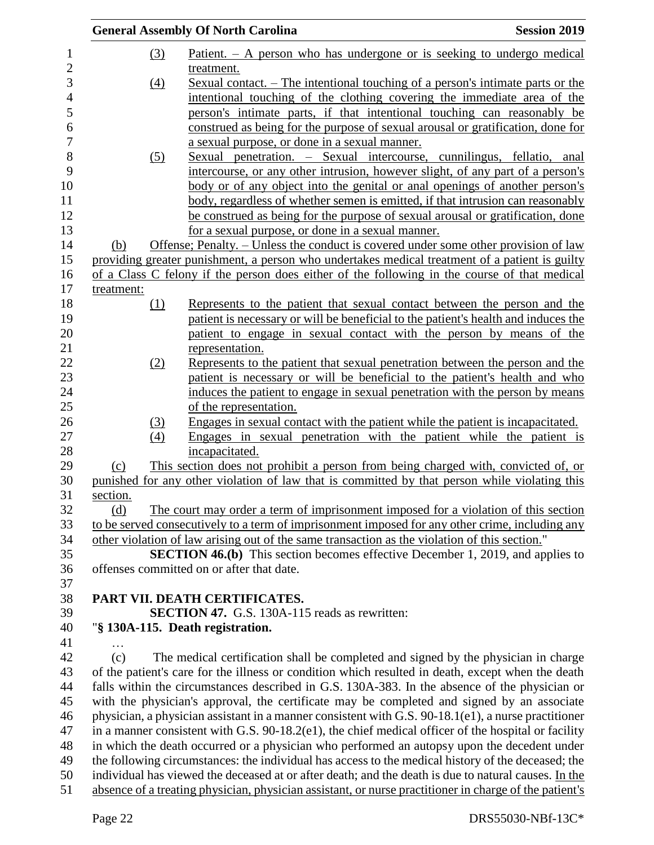|            |            | <b>General Assembly Of North Carolina</b>                                                              | <b>Session 2019</b> |
|------------|------------|--------------------------------------------------------------------------------------------------------|---------------------|
|            | (3)        | Patient. $- A$ person who has undergone or is seeking to undergo medical                               |                     |
|            |            | treatment.                                                                                             |                     |
|            | (4)        | <u>Sexual contact. – The intentional touching of a person's intimate parts or the</u>                  |                     |
|            |            | intentional touching of the clothing covering the immediate area of the                                |                     |
|            |            | person's intimate parts, if that intentional touching can reasonably be                                |                     |
|            |            | construed as being for the purpose of sexual arousal or gratification, done for                        |                     |
|            |            | a sexual purpose, or done in a sexual manner.                                                          |                     |
|            | <u>(5)</u> | Sexual penetration. – Sexual intercourse, cunnilingus, fellatio, anal                                  |                     |
|            |            | intercourse, or any other intrusion, however slight, of any part of a person's                         |                     |
|            |            | body or of any object into the genital or anal openings of another person's                            |                     |
|            |            | body, regardless of whether semen is emitted, if that intrusion can reasonably                         |                     |
|            |            | be construed as being for the purpose of sexual arousal or gratification, done                         |                     |
|            |            | for a sexual purpose, or done in a sexual manner.                                                      |                     |
| (b)        |            | Offense; Penalty. – Unless the conduct is covered under some other provision of law                    |                     |
|            |            | providing greater punishment, a person who undertakes medical treatment of a patient is guilty         |                     |
|            |            | of a Class C felony if the person does either of the following in the course of that medical           |                     |
| treatment: |            |                                                                                                        |                     |
|            | (1)        | Represents to the patient that sexual contact between the person and the                               |                     |
|            |            | patient is necessary or will be beneficial to the patient's health and induces the                     |                     |
|            |            | patient to engage in sexual contact with the person by means of the                                    |                     |
|            |            | representation.                                                                                        |                     |
|            | (2)        | Represents to the patient that sexual penetration between the person and the                           |                     |
|            |            | patient is necessary or will be beneficial to the patient's health and who                             |                     |
|            |            | induces the patient to engage in sexual penetration with the person by means                           |                     |
|            |            | of the representation.                                                                                 |                     |
|            | (3)        | Engages in sexual contact with the patient while the patient is incapacitated.                         |                     |
|            | (4)        | Engages in sexual penetration with the patient while the patient is<br>incapacitated.                  |                     |
|            |            | This section does not prohibit a person from being charged with, convicted of, or                      |                     |
| (c)        |            | punished for any other violation of law that is committed by that person while violating this          |                     |
| section.   |            |                                                                                                        |                     |
| (d)        |            | The court may order a term of imprisonment imposed for a violation of this section                     |                     |
|            |            | to be served consecutively to a term of imprisonment imposed for any other crime, including any        |                     |
|            |            | other violation of law arising out of the same transaction as the violation of this section."          |                     |
|            |            | <b>SECTION 46.(b)</b> This section becomes effective December 1, 2019, and applies to                  |                     |
|            |            | offenses committed on or after that date.                                                              |                     |
|            |            |                                                                                                        |                     |
|            |            | PART VII. DEATH CERTIFICATES.                                                                          |                     |
|            |            | <b>SECTION 47.</b> G.S. 130A-115 reads as rewritten:                                                   |                     |
|            |            | "§ 130A-115. Death registration.                                                                       |                     |
|            |            |                                                                                                        |                     |
| (c)        |            | The medical certification shall be completed and signed by the physician in charge                     |                     |
|            |            | of the patient's care for the illness or condition which resulted in death, except when the death      |                     |
|            |            | falls within the circumstances described in G.S. 130A-383. In the absence of the physician or          |                     |
|            |            | with the physician's approval, the certificate may be completed and signed by an associate             |                     |
|            |            | physician, a physician assistant in a manner consistent with G.S. 90-18.1(e1), a nurse practitioner    |                     |
|            |            | in a manner consistent with G.S. $90-18.2(e1)$ , the chief medical officer of the hospital or facility |                     |
|            |            | in which the death occurred or a physician who performed an autopsy upon the decedent under            |                     |
|            |            | the following circumstances: the individual has access to the medical history of the deceased; the     |                     |
|            |            | individual has viewed the deceased at or after death; and the death is due to natural causes. In the   |                     |
|            |            | absence of a treating physician, physician assistant, or nurse practitioner in charge of the patient's |                     |